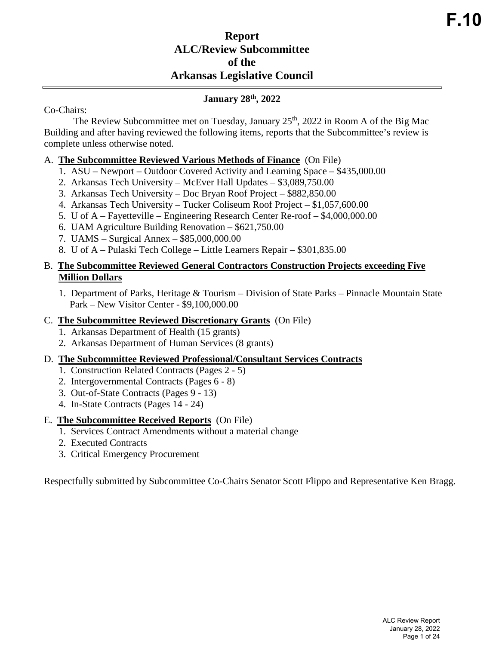# **Report ALC/Review Subcommittee of the Arkansas Legislative Council**

## **January 28th, 2022**

#### Co-Chairs:

The Review Subcommittee met on Tuesday, January  $25<sup>th</sup>$ , 2022 in Room A of the Big Mac Building and after having reviewed the following items, reports that the Subcommittee's review is complete unless otherwise noted.

### A. **The Subcommittee Reviewed Various Methods of Finance** (On File)

- 1. ASU Newport Outdoor Covered Activity and Learning Space \$435,000.00
- 2. Arkansas Tech University McEver Hall Updates \$3,089,750.00
- 3. Arkansas Tech University Doc Bryan Roof Project \$882,850.00
- 4. Arkansas Tech University Tucker Coliseum Roof Project \$1,057,600.00
- 5. U of A Fayetteville Engineering Research Center Re-roof \$4,000,000.00
- 6. UAM Agriculture Building Renovation \$621,750.00
- 7. UAMS Surgical Annex \$85,000,000.00
- 8. U of A Pulaski Tech College Little Learners Repair \$301,835.00

## B. **The Subcommittee Reviewed General Contractors Construction Projects exceeding Five Million Dollars**

1. Department of Parks, Heritage & Tourism – Division of State Parks – Pinnacle Mountain State Park – New Visitor Center - \$9,100,000.00

#### C. **The Subcommittee Reviewed Discretionary Grants** (On File)

- 1. Arkansas Department of Health (15 grants)
- 2. Arkansas Department of Human Services (8 grants)

#### D. **The Subcommittee Reviewed Professional/Consultant Services Contracts**

- 1. Construction Related Contracts (Pages 2 5)
- 2. Intergovernmental Contracts (Pages 6 8)
- 3. Out-of-State Contracts (Pages 9 13)
- 4. In-State Contracts (Pages 14 24)

## E. **The Subcommittee Received Reports** (On File)

- 1. Services Contract Amendments without a material change
- 2. Executed Contracts
- 3. Critical Emergency Procurement

Respectfully submitted by Subcommittee Co-Chairs Senator Scott Flippo and Representative Ken Bragg.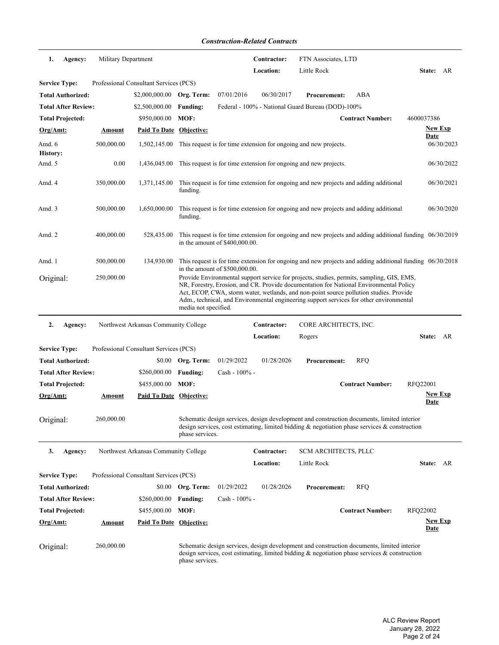| 1.                        | Agency:                    | Military Department |                                        |                      |                                  | Contractor: | FTN Associates, LTD                                                                                                                                                                                                                                                                                                                                                      |                         |                                                                                                            |
|---------------------------|----------------------------|---------------------|----------------------------------------|----------------------|----------------------------------|-------------|--------------------------------------------------------------------------------------------------------------------------------------------------------------------------------------------------------------------------------------------------------------------------------------------------------------------------------------------------------------------------|-------------------------|------------------------------------------------------------------------------------------------------------|
|                           |                            |                     |                                        |                      |                                  | Location:   | Little Rock                                                                                                                                                                                                                                                                                                                                                              |                         | State: AR                                                                                                  |
| <b>Service Type:</b>      |                            |                     | Professional Consultant Services (PCS) |                      |                                  |             |                                                                                                                                                                                                                                                                                                                                                                          |                         |                                                                                                            |
|                           | <b>Total Authorized:</b>   |                     | $$2,000,000.00$ Org. Term:             |                      | 07/01/2016                       | 06/30/2017  | <b>Procurement:</b>                                                                                                                                                                                                                                                                                                                                                      | ABA                     |                                                                                                            |
|                           | <b>Total After Review:</b> |                     | \$2,500,000.00                         | <b>Funding:</b>      |                                  |             | Federal - 100% - National Guard Bureau (DOD)-100%                                                                                                                                                                                                                                                                                                                        |                         |                                                                                                            |
|                           | <b>Total Projected:</b>    |                     | \$950,000.00 MOF:                      |                      |                                  |             |                                                                                                                                                                                                                                                                                                                                                                          | <b>Contract Number:</b> | 4600037386                                                                                                 |
| <u>Org/Amt:</u>           |                            | <b>Amount</b>       | Paid To Date Objective:                |                      |                                  |             |                                                                                                                                                                                                                                                                                                                                                                          |                         | <b>New Exp</b><br>Date                                                                                     |
| Amd. 6<br><b>History:</b> |                            | 500,000.00          | 1,502,145.00                           |                      |                                  |             | This request is for time extension for ongoing and new projects.                                                                                                                                                                                                                                                                                                         |                         | 06/30/2023                                                                                                 |
| Amd. 5                    |                            | 0.00                | 1.436,045.00                           |                      |                                  |             | This request is for time extension for ongoing and new projects.                                                                                                                                                                                                                                                                                                         |                         | 06/30/2022                                                                                                 |
| Amd. 4                    |                            | 350,000.00          | 1,371,145.00                           | funding.             |                                  |             | This request is for time extension for ongoing and new projects and adding additional                                                                                                                                                                                                                                                                                    |                         | 06/30/2021                                                                                                 |
| Amd. 3                    |                            | 500,000.00          | 1,650,000.00                           | funding.             |                                  |             | This request is for time extension for ongoing and new projects and adding additional                                                                                                                                                                                                                                                                                    |                         | 06/30/2020                                                                                                 |
| Amd. 2                    |                            | 400,000.00          | 528,435.00                             |                      | in the amount of \$400,000.00.   |             |                                                                                                                                                                                                                                                                                                                                                                          |                         | This request is for time extension for ongoing and new projects and adding additional funding $06/30/2019$ |
| Amd. 1                    |                            | 500,000.00          | 134,930.00                             |                      | in the amount of $$500,000.00$ . |             |                                                                                                                                                                                                                                                                                                                                                                          |                         | This request is for time extension for ongoing and new projects and adding additional funding $06/30/2018$ |
| Original:                 |                            | 250,000.00          |                                        | media not specified. |                                  |             | Provide Environmental support service for projects, studies, permits, sampling, GIS, EMS,<br>NR, Forestry, Erosion, and CR. Provide documentation for National Environmental Policy<br>Act, ECOP, CWA, storm water, wetlands, and non-point source pollution studies. Provide<br>Adm., technical, and Environmental engineering support services for other environmental |                         |                                                                                                            |
| 2.                        | Agency:                    |                     | Northwest Arkansas Community College   |                      |                                  | Contractor: | CORE ARCHITECTS, INC.                                                                                                                                                                                                                                                                                                                                                    |                         |                                                                                                            |
|                           |                            |                     |                                        |                      |                                  | Location:   | Rogers                                                                                                                                                                                                                                                                                                                                                                   |                         | State: AR                                                                                                  |
| <b>Service Type:</b>      |                            |                     | Professional Consultant Services (PCS) |                      |                                  |             |                                                                                                                                                                                                                                                                                                                                                                          |                         |                                                                                                            |
|                           | <b>Total Authorized:</b>   |                     |                                        |                      |                                  |             |                                                                                                                                                                                                                                                                                                                                                                          |                         |                                                                                                            |
|                           |                            |                     |                                        | \$0.00 Org. Term:    | 01/29/2022                       | 01/28/2026  | <b>Procurement:</b>                                                                                                                                                                                                                                                                                                                                                      | <b>RFQ</b>              |                                                                                                            |
|                           | <b>Total After Review:</b> |                     | \$260,000.00                           | <b>Funding:</b>      | Cash - 100% -                    |             |                                                                                                                                                                                                                                                                                                                                                                          |                         |                                                                                                            |
|                           | <b>Total Projected:</b>    |                     | \$455,000.00                           | MOF:                 |                                  |             |                                                                                                                                                                                                                                                                                                                                                                          | <b>Contract Number:</b> | <b>RFQ22001</b>                                                                                            |
| Org/Amt:                  |                            | Amount              | Paid To Date Objective:                |                      |                                  |             |                                                                                                                                                                                                                                                                                                                                                                          |                         | <b>New Exp</b><br><b>Date</b>                                                                              |
| Original:                 |                            | 260,000.00          |                                        | phase services.      |                                  |             | Schematic design services, design development and construction documents, limited interior<br>design services, cost estimating, limited bidding $\&$ negotiation phase services $\&$ construction                                                                                                                                                                        |                         |                                                                                                            |
| 3.                        | Agency:                    |                     | Northwest Arkansas Community College   |                      |                                  | Contractor: | SCM ARCHITECTS, PLLC                                                                                                                                                                                                                                                                                                                                                     |                         |                                                                                                            |
|                           |                            |                     |                                        |                      |                                  | Location:   | Little Rock                                                                                                                                                                                                                                                                                                                                                              |                         | State: AR                                                                                                  |
| <b>Service Type:</b>      |                            |                     | Professional Consultant Services (PCS) |                      |                                  |             |                                                                                                                                                                                                                                                                                                                                                                          |                         |                                                                                                            |
|                           | <b>Total Authorized:</b>   |                     |                                        | \$0.00 Org. Term:    | 01/29/2022                       | 01/28/2026  | <b>Procurement:</b>                                                                                                                                                                                                                                                                                                                                                      | <b>RFQ</b>              |                                                                                                            |
|                           | <b>Total After Review:</b> |                     | \$260,000.00                           | <b>Funding:</b>      | $Cash - 100\% -$                 |             |                                                                                                                                                                                                                                                                                                                                                                          |                         |                                                                                                            |
|                           | <b>Total Projected:</b>    |                     | \$455,000.00                           | MOF:                 |                                  |             |                                                                                                                                                                                                                                                                                                                                                                          | <b>Contract Number:</b> | RFQ22002                                                                                                   |
| Org/Amt:                  |                            | <u>Amount</u>       | Paid To Date Objective:                |                      |                                  |             |                                                                                                                                                                                                                                                                                                                                                                          |                         | <b>New Exp</b><br><b>Date</b>                                                                              |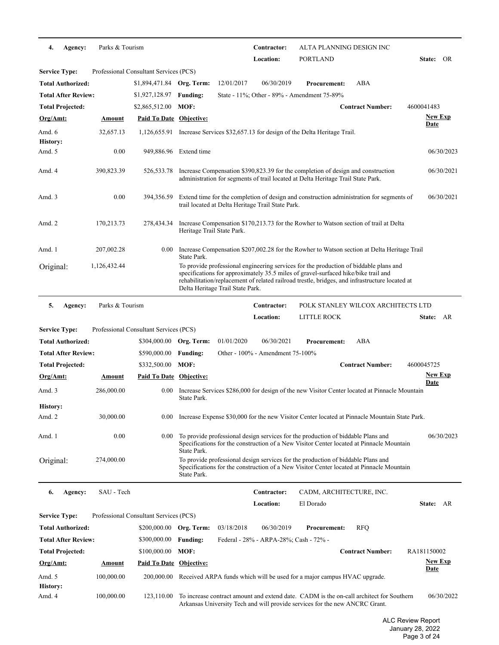| Agency:<br>4.              | Parks & Tourism |                                        |                            |                                  | Contractor:                                       | ALTA PLANNING DESIGN INC                                                                                                                                                                                                                                                      |                                    |                        |
|----------------------------|-----------------|----------------------------------------|----------------------------|----------------------------------|---------------------------------------------------|-------------------------------------------------------------------------------------------------------------------------------------------------------------------------------------------------------------------------------------------------------------------------------|------------------------------------|------------------------|
|                            |                 |                                        |                            |                                  | Location:                                         | <b>PORTLAND</b>                                                                                                                                                                                                                                                               |                                    | <b>State:</b><br>OR    |
| <b>Service Type:</b>       |                 | Professional Consultant Services (PCS) |                            |                                  |                                                   |                                                                                                                                                                                                                                                                               |                                    |                        |
| Total Authorized:          |                 | \$1,894,471.84 Org. Term:              |                            | 12/01/2017                       | 06/30/2019                                        | <b>Procurement:</b>                                                                                                                                                                                                                                                           | ABA                                |                        |
| <b>Total After Review:</b> |                 | \$1,927,128.97                         | <b>Funding:</b>            |                                  |                                                   | State - 11%; Other - 89% - Amendment 75-89%                                                                                                                                                                                                                                   |                                    |                        |
| <b>Total Projected:</b>    |                 | \$2,865,512.00                         | MOF:                       |                                  |                                                   |                                                                                                                                                                                                                                                                               | <b>Contract Number:</b>            | 4600041483             |
| <u>Org/Amt:</u>            | Amount          | <b>Paid To Date Objective:</b>         |                            |                                  |                                                   |                                                                                                                                                                                                                                                                               |                                    | New Exp<br><b>Date</b> |
| Amd. 6<br><b>History:</b>  | 32,657.13       |                                        |                            |                                  |                                                   | 1,126,655.91 Increase Services \$32,657.13 for design of the Delta Heritage Trail.                                                                                                                                                                                            |                                    |                        |
| Amd. 5                     | 0.00            |                                        | 949,886.96 Extend time     |                                  |                                                   |                                                                                                                                                                                                                                                                               |                                    | 06/30/2023             |
| Amd. 4                     | 390,823.39      | 526,533.78                             |                            |                                  |                                                   | Increase Compensation \$390,823.39 for the completion of design and construction<br>administration for segments of trail located at Delta Heritage Trail State Park.                                                                                                          |                                    | 06/30/2021             |
| Amd. 3                     | 0.00            | 394,356.59                             |                            |                                  | trail located at Delta Heritage Trail State Park. | Extend time for the completion of design and construction administration for segments of                                                                                                                                                                                      |                                    | 06/30/2021             |
| Amd. 2                     | 170,213.73      | 278,434.34                             | Heritage Trail State Park. |                                  |                                                   | Increase Compensation \$170,213.73 for the Rowher to Watson section of trail at Delta                                                                                                                                                                                         |                                    |                        |
| Amd. 1                     | 207,002.28      | 0.00                                   | State Park.                |                                  |                                                   | Increase Compensation \$207,002.28 for the Rowher to Watson section at Delta Heritage Trail                                                                                                                                                                                   |                                    |                        |
| Original:                  | 1,126,432.44    |                                        |                            | Delta Heritage Trail State Park. |                                                   | To provide professional engineering services for the production of biddable plans and<br>specifications for approximately 35.5 miles of gravel-surfaced hike/bike trail and<br>rehabilitation/replacement of related railroad trestle, bridges, and infrastructure located at |                                    |                        |
| 5.<br>Agency:              | Parks & Tourism |                                        |                            |                                  | Contractor:                                       |                                                                                                                                                                                                                                                                               | POLK STANLEY WILCOX ARCHITECTS LTD |                        |
|                            |                 |                                        |                            |                                  | Location:                                         | LITTLE ROCK                                                                                                                                                                                                                                                                   |                                    | State: AR              |
| <b>Service Type:</b>       |                 | Professional Consultant Services (PCS) |                            |                                  |                                                   |                                                                                                                                                                                                                                                                               |                                    |                        |
| <b>Total Authorized:</b>   |                 | \$304,000.00 Org. Term:                |                            | 01/01/2020                       | 06/30/2021                                        | <b>Procurement:</b>                                                                                                                                                                                                                                                           | ABA                                |                        |
| <b>Total After Review:</b> |                 | \$590,000.00                           | <b>Funding:</b>            |                                  | Other - 100% - Amendment 75-100%                  |                                                                                                                                                                                                                                                                               |                                    |                        |
| Total Projected:           |                 | \$332,500.00                           | MOF:                       |                                  |                                                   |                                                                                                                                                                                                                                                                               | <b>Contract Number:</b>            | 4600045725             |
| <u>Org/Amt:</u>            | Amount          | <b>Paid To Date Objective:</b>         |                            |                                  |                                                   |                                                                                                                                                                                                                                                                               |                                    | <u>New Exp</u>         |
| Amd. 3                     | 286,000.00      | 0.00                                   | State Park.                |                                  |                                                   | Increase Services \$286,000 for design of the new Visitor Center located at Pinnacle Mountain                                                                                                                                                                                 |                                    | Date                   |
| <b>History:</b>            |                 |                                        |                            |                                  |                                                   |                                                                                                                                                                                                                                                                               |                                    |                        |
| Amd. 2                     | 30,000.00       |                                        |                            |                                  |                                                   | 0.00 Increase Expense \$30,000 for the new Visitor Center located at Pinnacle Mountain State Park.                                                                                                                                                                            |                                    |                        |
| Amd. 1                     | 0.00            | $0.00\,$                               | State Park.                |                                  |                                                   | To provide professional design services for the production of biddable Plans and<br>Specifications for the construction of a New Visitor Center located at Pinnacle Mountain                                                                                                  |                                    | 06/30/2023             |
| Original:                  | 274,000.00      |                                        | State Park.                |                                  |                                                   | To provide professional design services for the production of biddable Plans and<br>Specifications for the construction of a New Visitor Center located at Pinnacle Mountain                                                                                                  |                                    |                        |
| 6.<br>Agency:              | SAU - Tech      |                                        |                            |                                  | Contractor:                                       | CADM, ARCHITECTURE, INC.                                                                                                                                                                                                                                                      |                                    |                        |
|                            |                 |                                        |                            |                                  | Location:                                         | El Dorado                                                                                                                                                                                                                                                                     |                                    | State: AR              |
| <b>Service Type:</b>       |                 | Professional Consultant Services (PCS) |                            |                                  |                                                   |                                                                                                                                                                                                                                                                               |                                    |                        |
| Total Authorized:          |                 | \$200,000.00 Org. Term:                |                            | 03/18/2018                       | 06/30/2019                                        | <b>Procurement:</b>                                                                                                                                                                                                                                                           | <b>RFQ</b>                         |                        |
| <b>Total After Review:</b> |                 | \$300,000.00                           | <b>Funding:</b>            |                                  | Federal - 28% - ARPA-28%; Cash - 72% -            |                                                                                                                                                                                                                                                                               |                                    |                        |
| <b>Total Projected:</b>    |                 | \$100,000.00                           | MOF:                       |                                  |                                                   |                                                                                                                                                                                                                                                                               | <b>Contract Number:</b>            | RA181150002            |
| Org/Amt:                   | <b>Amount</b>   | Paid To Date Objective:                |                            |                                  |                                                   |                                                                                                                                                                                                                                                                               |                                    | <u>New Exp</u>         |
| Amd. 5                     | 100,000.00      |                                        |                            |                                  |                                                   | 200,000.00 Received ARPA funds which will be used for a major campus HVAC upgrade.                                                                                                                                                                                            |                                    | <u>Date</u>            |
| History:<br>Amd. 4         | 100,000.00      | 123,110.00                             |                            |                                  |                                                   | To increase contract amount and extend date. CADM is the on-call architect for Southern<br>Arkansas University Tech and will provide services for the new ANCRC Grant.                                                                                                        |                                    | 06/30/2022             |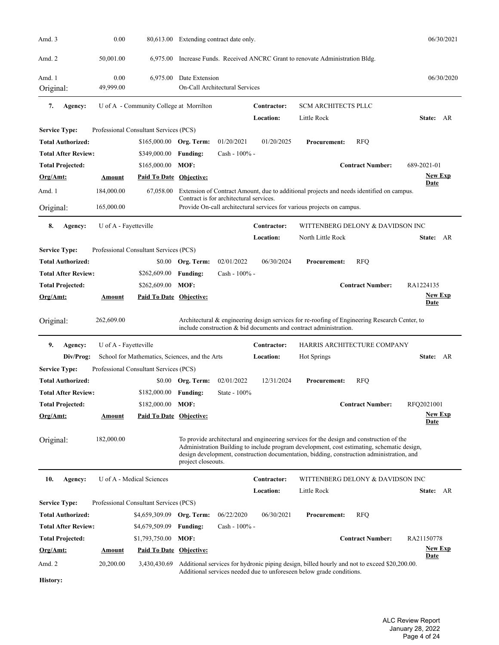| Amd. 3                     | 0.00                  |                                                | 80,613.00 Extending contract date only. |                                         |                                 |                                                                                                                                                                                                                                                                                     |                         | 06/30/2021                    |
|----------------------------|-----------------------|------------------------------------------------|-----------------------------------------|-----------------------------------------|---------------------------------|-------------------------------------------------------------------------------------------------------------------------------------------------------------------------------------------------------------------------------------------------------------------------------------|-------------------------|-------------------------------|
| Amd. 2                     | 50,001.00             | 6,975.00                                       |                                         |                                         |                                 | Increase Funds. Received ANCRC Grant to renovate Administration Bldg.                                                                                                                                                                                                               |                         |                               |
| Amd. 1                     | 0.00                  | 6,975.00                                       | Date Extension                          |                                         |                                 |                                                                                                                                                                                                                                                                                     |                         | 06/30/2020                    |
| Original:                  | 49,999.00             |                                                |                                         | On-Call Architectural Services          |                                 |                                                                                                                                                                                                                                                                                     |                         |                               |
| 7.<br>Agency:              |                       | U of A - Community College at Morrilton        |                                         |                                         | <b>Contractor:</b><br>Location: | <b>SCM ARCHITECTS PLLC</b><br>Little Rock                                                                                                                                                                                                                                           |                         | State: AR                     |
| <b>Service Type:</b>       |                       | Professional Consultant Services (PCS)         |                                         |                                         |                                 |                                                                                                                                                                                                                                                                                     |                         |                               |
| <b>Total Authorized:</b>   |                       | \$165,000.00                                   | Org. Term:                              | 01/20/2021                              | 01/20/2025                      | <b>Procurement:</b>                                                                                                                                                                                                                                                                 | <b>RFQ</b>              |                               |
| <b>Total After Review:</b> |                       | \$349,000.00                                   | <b>Funding:</b>                         | Cash - 100% -                           |                                 |                                                                                                                                                                                                                                                                                     |                         |                               |
| <b>Total Projected:</b>    |                       | \$165,000.00                                   | MOF:                                    |                                         |                                 |                                                                                                                                                                                                                                                                                     | <b>Contract Number:</b> | 689-2021-01                   |
| Org/Amt:                   | Amount                | <b>Paid To Date Objective:</b>                 |                                         |                                         |                                 |                                                                                                                                                                                                                                                                                     |                         | <b>New Exp</b>                |
|                            |                       |                                                |                                         |                                         |                                 |                                                                                                                                                                                                                                                                                     |                         | Date                          |
| Amd. 1                     | 184,000.00            | 67,058.00                                      |                                         | Contract is for architectural services. |                                 | Extension of Contract Amount, due to additional projects and needs identified on campus.                                                                                                                                                                                            |                         |                               |
| Original:                  | 165,000.00            |                                                |                                         |                                         |                                 | Provide On-call architectural services for various projects on campus.                                                                                                                                                                                                              |                         |                               |
| 8.                         | U of A - Fayetteville |                                                |                                         |                                         | Contractor:                     | WITTENBERG DELONY & DAVIDSON INC                                                                                                                                                                                                                                                    |                         |                               |
| Agency:                    |                       |                                                |                                         |                                         | Location:                       | North Little Rock                                                                                                                                                                                                                                                                   |                         | State: AR                     |
| <b>Service Type:</b>       |                       | Professional Consultant Services (PCS)         |                                         |                                         |                                 |                                                                                                                                                                                                                                                                                     |                         |                               |
| Total Authorized:          |                       |                                                | Org. Term:                              | 02/01/2022                              | 06/30/2024                      | <b>Procurement:</b>                                                                                                                                                                                                                                                                 |                         |                               |
|                            |                       | \$0.00                                         |                                         |                                         |                                 |                                                                                                                                                                                                                                                                                     | <b>RFQ</b>              |                               |
| Total After Review:        |                       | \$262,609.00                                   | <b>Funding:</b>                         | Cash - 100% -                           |                                 |                                                                                                                                                                                                                                                                                     |                         |                               |
| Total Projected:           |                       | \$262,609.00                                   | MOF:                                    |                                         |                                 |                                                                                                                                                                                                                                                                                     | <b>Contract Number:</b> | RA1224135                     |
| Org/Amt:                   | Amount                | <b>Paid To Date Objective:</b>                 |                                         |                                         |                                 |                                                                                                                                                                                                                                                                                     |                         | <b>New Exp</b><br>Date        |
| Original:                  | 262,609.00            |                                                |                                         |                                         |                                 | Architectural & engineering design services for re-roofing of Engineering Research Center, to<br>include construction & bid documents and contract administration.                                                                                                                  |                         |                               |
| 9.<br>Agency:              | U of A - Fayetteville |                                                |                                         |                                         | Contractor:                     | HARRIS ARCHITECTURE COMPANY                                                                                                                                                                                                                                                         |                         |                               |
| Div/Prog:                  |                       | School for Mathematics, Sciences, and the Arts |                                         |                                         | Location:                       | Hot Springs                                                                                                                                                                                                                                                                         |                         | State: AR                     |
| <b>Service Type:</b>       |                       | Professional Consultant Services (PCS)         |                                         |                                         |                                 |                                                                                                                                                                                                                                                                                     |                         |                               |
| Total Authorized:          |                       | \$0.00                                         | Org. Term:                              | 02/01/2022                              | 12/31/2024                      | <b>Procurement:</b>                                                                                                                                                                                                                                                                 | <b>RFQ</b>              |                               |
| <b>Total After Review:</b> |                       | $$182,000.00$ Funding:                         |                                         | State - 100%                            |                                 |                                                                                                                                                                                                                                                                                     |                         |                               |
| <b>Total Projected:</b>    |                       | \$182,000.00 MOF:                              |                                         |                                         |                                 |                                                                                                                                                                                                                                                                                     | <b>Contract Number:</b> | RFQ2021001                    |
| $Org/Amt$ :                | <u>Amount</u>         | <b>Paid To Date Objective:</b>                 |                                         |                                         |                                 |                                                                                                                                                                                                                                                                                     |                         | <u>New Exp</u><br><b>Date</b> |
| Original:                  | 182,000.00            |                                                | project closeouts.                      |                                         |                                 | To provide architectural and engineering services for the design and construction of the<br>Administration Building to include program development, cost estimating, schematic design,<br>design development, construction documentation, bidding, construction administration, and |                         |                               |
| 10.<br>Agency:             |                       | U of A - Medical Sciences                      |                                         |                                         | Contractor:                     | WITTENBERG DELONY & DAVIDSON INC                                                                                                                                                                                                                                                    |                         |                               |
|                            |                       |                                                |                                         |                                         | Location:                       | Little Rock                                                                                                                                                                                                                                                                         |                         | State: AR                     |
| <b>Service Type:</b>       |                       | Professional Consultant Services (PCS)         |                                         |                                         |                                 |                                                                                                                                                                                                                                                                                     |                         |                               |
| <b>Total Authorized:</b>   |                       | \$4,659,309.09 Org. Term:                      |                                         | 06/22/2020                              | 06/30/2021                      | <b>Procurement:</b>                                                                                                                                                                                                                                                                 | <b>RFQ</b>              |                               |
| Total After Review:        |                       | \$4,679,509.09                                 | <b>Funding:</b>                         | Cash - 100% -                           |                                 |                                                                                                                                                                                                                                                                                     |                         |                               |
| <b>Total Projected:</b>    |                       | \$1,793,750.00                                 | MOF:                                    |                                         |                                 |                                                                                                                                                                                                                                                                                     | <b>Contract Number:</b> | RA21150778                    |
| <u>Org/Amt:</u>            | <u>Amount</u>         | <b>Paid To Date Objective:</b>                 |                                         |                                         |                                 |                                                                                                                                                                                                                                                                                     |                         | <b>New Exp</b><br><b>Date</b> |
| Amd. 2                     | 20,200.00             | 3,430,430.69                                   |                                         |                                         |                                 | Additional services for hydronic piping design, billed hourly and not to exceed \$20,200.00.<br>Additional services needed due to unforeseen below grade conditions.                                                                                                                |                         |                               |
| History:                   |                       |                                                |                                         |                                         |                                 |                                                                                                                                                                                                                                                                                     |                         |                               |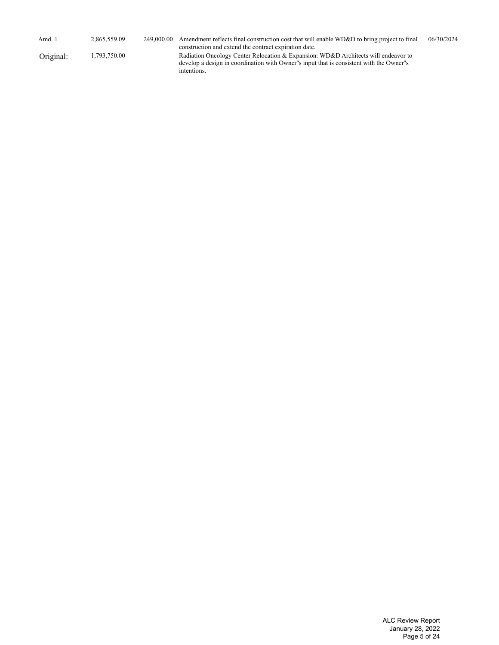| Amd. 1    | 2,865,559.09 | 249,000,00 | Amendment reflects final construction cost that will enable WD&D to bring project to final<br>construction and extend the contract expiration date.                                            | 06/30/2024 |
|-----------|--------------|------------|------------------------------------------------------------------------------------------------------------------------------------------------------------------------------------------------|------------|
| Original: | 1,793,750.00 |            | Radiation Oncology Center Relocation & Expansion: WD&D Architects will endeavor to<br>develop a design in coordination with Owner''s input that is consistent with the Owner''s<br>intentions. |            |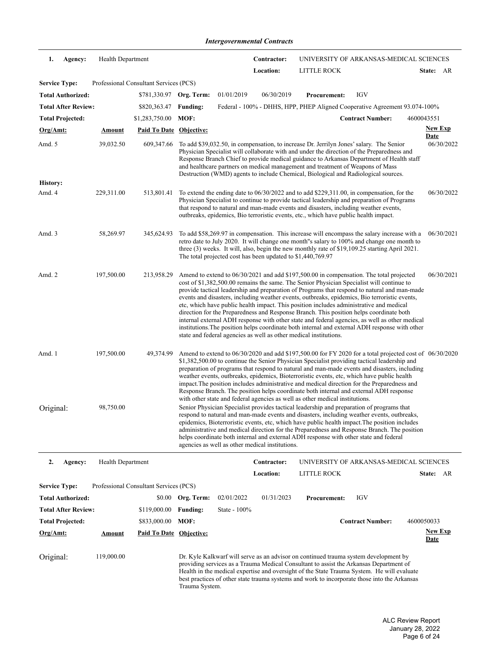*Intergovernmental Contracts*

| 1.                         | Agency: | Health Department        |                                        |                   |                                                             | Contractor: |                                                                                                                                                                                                                                                                                                                                                                                                                                                                                                                                                                                                                                                                                                                                                                                                                                                      | UNIVERSITY OF ARKANSAS-MEDICAL SCIENCES |            |                               |
|----------------------------|---------|--------------------------|----------------------------------------|-------------------|-------------------------------------------------------------|-------------|------------------------------------------------------------------------------------------------------------------------------------------------------------------------------------------------------------------------------------------------------------------------------------------------------------------------------------------------------------------------------------------------------------------------------------------------------------------------------------------------------------------------------------------------------------------------------------------------------------------------------------------------------------------------------------------------------------------------------------------------------------------------------------------------------------------------------------------------------|-----------------------------------------|------------|-------------------------------|
|                            |         |                          |                                        |                   |                                                             | Location:   | LITTLE ROCK                                                                                                                                                                                                                                                                                                                                                                                                                                                                                                                                                                                                                                                                                                                                                                                                                                          |                                         |            | State: AR                     |
| <b>Service Type:</b>       |         |                          | Professional Consultant Services (PCS) |                   |                                                             |             |                                                                                                                                                                                                                                                                                                                                                                                                                                                                                                                                                                                                                                                                                                                                                                                                                                                      |                                         |            |                               |
| <b>Total Authorized:</b>   |         |                          | \$781,330.97 Org. Term:                |                   | 01/01/2019                                                  | 06/30/2019  | <b>Procurement:</b>                                                                                                                                                                                                                                                                                                                                                                                                                                                                                                                                                                                                                                                                                                                                                                                                                                  | <b>IGV</b>                              |            |                               |
| <b>Total After Review:</b> |         |                          | \$820,363.47                           | <b>Funding:</b>   |                                                             |             | Federal - 100% - DHHS, HPP, PHEP Aligned Cooperative Agreement 93.074-100%                                                                                                                                                                                                                                                                                                                                                                                                                                                                                                                                                                                                                                                                                                                                                                           |                                         |            |                               |
| <b>Total Projected:</b>    |         |                          | \$1,283,750.00                         | MOF:              |                                                             |             |                                                                                                                                                                                                                                                                                                                                                                                                                                                                                                                                                                                                                                                                                                                                                                                                                                                      | <b>Contract Number:</b>                 | 4600043551 |                               |
| Org/Amt:                   |         | <u>Amount</u>            | <b>Paid To Date Objective:</b>         |                   |                                                             |             |                                                                                                                                                                                                                                                                                                                                                                                                                                                                                                                                                                                                                                                                                                                                                                                                                                                      |                                         |            | <b>New Exp</b><br>Date        |
| Amd. 5                     |         | 39,032.50                | 609,347.66                             |                   |                                                             |             | To add \$39,032.50, in compensation, to increase Dr. Jerrilyn Jones' salary. The Senior<br>Physician Specialist will collaborate with and under the direction of the Preparedness and<br>Response Branch Chief to provide medical guidance to Arkansas Department of Health staff<br>and healthcare partners on medical management and treatment of Weapons of Mass<br>Destruction (WMD) agents to include Chemical, Biological and Radiological sources.                                                                                                                                                                                                                                                                                                                                                                                            |                                         |            | 06/30/2022                    |
| <b>History:</b>            |         |                          |                                        |                   |                                                             |             |                                                                                                                                                                                                                                                                                                                                                                                                                                                                                                                                                                                                                                                                                                                                                                                                                                                      |                                         |            |                               |
| Amd. 4                     |         | 229,311.00               | 513,801.41                             |                   |                                                             |             | To extend the ending date to $06/30/2022$ and to add \$229,311.00, in compensation, for the<br>Physician Specialist to continue to provide tactical leadership and preparation of Programs<br>that respond to natural and man-made events and disasters, including weather events,<br>outbreaks, epidemics, Bio terroristic events, etc., which have public health impact.                                                                                                                                                                                                                                                                                                                                                                                                                                                                           |                                         |            | 06/30/2022                    |
| Amd. 3                     |         | 58,269.97                | 345,624.93                             |                   | The total projected cost has been updated to \$1,440,769.97 |             | To add \$58,269.97 in compensation. This increase will encompass the salary increase with a<br>retro date to July 2020. It will change one month"s salary to 100% and change one month to<br>three $(3)$ weeks. It will, also, begin the new monthly rate of \$19,109.25 starting April 2021.                                                                                                                                                                                                                                                                                                                                                                                                                                                                                                                                                        |                                         |            | 06/30/2021                    |
| Amd. 2                     |         | 197,500.00               | 213,958.29                             |                   |                                                             |             | Amend to extend to 06/30/2021 and add \$197,500.00 in compensation. The total projected<br>cost of \$1,382,500.00 remains the same. The Senior Physician Specialist will continue to<br>provide tactical leadership and preparation of Programs that respond to natural and man-made<br>events and disasters, including weather events, outbreaks, epidemics, Bio terroristic events,<br>etc, which have public health impact. This position includes administrative and medical<br>direction for the Preparedness and Response Branch. This position helps coordinate both<br>internal external ADH response with other state and federal agencies, as well as other medical<br>institutions. The position helps coordinate both internal and external ADH response with other<br>state and federal agencies as well as other medical institutions. |                                         |            | 06/30/2021                    |
| Amd. 1                     |         | 197,500.00               | 49,374.99                              |                   |                                                             |             | Amend to extend to 06/30/2020 and add \$197,500.00 for FY 2020 for a total projected cost of 06/30/2020<br>\$1,382,500.00 to continue the Senior Physician Specialist providing tactical leadership and<br>preparation of programs that respond to natural and man-made events and disasters, including<br>weather events, outbreaks, epidemics, Bioterroristic events, etc, which have public health<br>impact. The position includes administrative and medical direction for the Preparedness and<br>Response Branch. The position helps coordinate both internal and external ADH response<br>with other state and federal agencies as well as other medical institutions.                                                                                                                                                                       |                                         |            |                               |
| Original:                  |         | 98,750.00                |                                        |                   | agencies as well as other medical institutions.             |             | Senior Physician Specialist provides tactical leadership and preparation of programs that<br>respond to natural and man-made events and disasters, including weather events, outbreaks,<br>epidemics, Bioterroristic events, etc, which have public health impact. The position includes<br>administrative and medical direction for the Preparedness and Response Branch. The position<br>helps coordinate both internal and external ADH response with other state and federal                                                                                                                                                                                                                                                                                                                                                                     |                                         |            |                               |
| 2.                         | Agency: | <b>Health Department</b> |                                        |                   |                                                             | Contractor: |                                                                                                                                                                                                                                                                                                                                                                                                                                                                                                                                                                                                                                                                                                                                                                                                                                                      | UNIVERSITY OF ARKANSAS-MEDICAL SCIENCES |            |                               |
|                            |         |                          |                                        |                   |                                                             | Location:   | <b>LITTLE ROCK</b>                                                                                                                                                                                                                                                                                                                                                                                                                                                                                                                                                                                                                                                                                                                                                                                                                                   |                                         |            | State: AR                     |
| <b>Service Type:</b>       |         |                          | Professional Consultant Services (PCS) |                   |                                                             |             |                                                                                                                                                                                                                                                                                                                                                                                                                                                                                                                                                                                                                                                                                                                                                                                                                                                      |                                         |            |                               |
| <b>Total Authorized:</b>   |         |                          |                                        | \$0.00 Org. Term: | 02/01/2022                                                  | 01/31/2023  | <b>Procurement:</b>                                                                                                                                                                                                                                                                                                                                                                                                                                                                                                                                                                                                                                                                                                                                                                                                                                  | <b>IGV</b>                              |            |                               |
| <b>Total After Review:</b> |         |                          | \$119,000.00                           | <b>Funding:</b>   | State - 100%                                                |             |                                                                                                                                                                                                                                                                                                                                                                                                                                                                                                                                                                                                                                                                                                                                                                                                                                                      |                                         |            |                               |
| <b>Total Projected:</b>    |         |                          | \$833,000.00                           | MOF:              |                                                             |             |                                                                                                                                                                                                                                                                                                                                                                                                                                                                                                                                                                                                                                                                                                                                                                                                                                                      | <b>Contract Number:</b>                 | 4600050033 |                               |
| Org/Amt:                   |         | <b>Amount</b>            | <b>Paid To Date Objective:</b>         |                   |                                                             |             |                                                                                                                                                                                                                                                                                                                                                                                                                                                                                                                                                                                                                                                                                                                                                                                                                                                      |                                         |            | <b>New Exp</b><br><b>Date</b> |
| Original:                  |         | 119,000.00               |                                        | Trauma System.    |                                                             |             | Dr. Kyle Kalkwarf will serve as an advisor on continued trauma system development by<br>providing services as a Trauma Medical Consultant to assist the Arkansas Department of<br>Health in the medical expertise and oversight of the State Trauma System. He will evaluate<br>best practices of other state trauma systems and work to incorporate those into the Arkansas                                                                                                                                                                                                                                                                                                                                                                                                                                                                         |                                         |            |                               |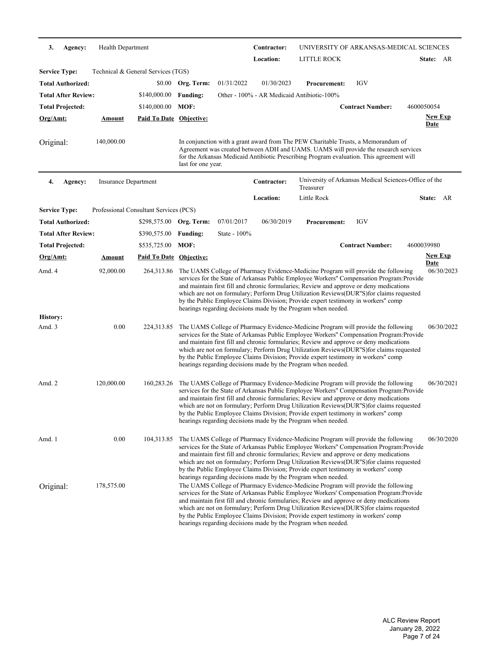| 3.                   | Agency:                    | Health Department    |                                        |                    |              | Contractor: |                                                                                                                                                                                                                                                                                                                                                                                                                                                                                                                                                                                                                                                                                                                                                                                                                                                                                                      | UNIVERSITY OF ARKANSAS-MEDICAL SCIENCES               |                               |  |
|----------------------|----------------------------|----------------------|----------------------------------------|--------------------|--------------|-------------|------------------------------------------------------------------------------------------------------------------------------------------------------------------------------------------------------------------------------------------------------------------------------------------------------------------------------------------------------------------------------------------------------------------------------------------------------------------------------------------------------------------------------------------------------------------------------------------------------------------------------------------------------------------------------------------------------------------------------------------------------------------------------------------------------------------------------------------------------------------------------------------------------|-------------------------------------------------------|-------------------------------|--|
|                      |                            |                      |                                        |                    |              | Location:   | LITTLE ROCK                                                                                                                                                                                                                                                                                                                                                                                                                                                                                                                                                                                                                                                                                                                                                                                                                                                                                          |                                                       | State: AR                     |  |
| <b>Service Type:</b> |                            |                      | Technical & General Services (TGS)     |                    |              |             |                                                                                                                                                                                                                                                                                                                                                                                                                                                                                                                                                                                                                                                                                                                                                                                                                                                                                                      |                                                       |                               |  |
|                      | <b>Total Authorized:</b>   |                      |                                        | \$0.00 Org. Term:  | 01/31/2022   | 01/30/2023  | <b>Procurement:</b>                                                                                                                                                                                                                                                                                                                                                                                                                                                                                                                                                                                                                                                                                                                                                                                                                                                                                  | <b>IGV</b>                                            |                               |  |
|                      | <b>Total After Review:</b> |                      | \$140,000.00                           | <b>Funding:</b>    |              |             | Other - 100% - AR Medicaid Antibiotic-100%                                                                                                                                                                                                                                                                                                                                                                                                                                                                                                                                                                                                                                                                                                                                                                                                                                                           |                                                       |                               |  |
|                      | <b>Total Projected:</b>    |                      | \$140,000.00                           | MOF:               |              |             |                                                                                                                                                                                                                                                                                                                                                                                                                                                                                                                                                                                                                                                                                                                                                                                                                                                                                                      | <b>Contract Number:</b>                               | 4600050054                    |  |
| Org/Amt:             |                            | <b>Amount</b>        | <b>Paid To Date Objective:</b>         |                    |              |             |                                                                                                                                                                                                                                                                                                                                                                                                                                                                                                                                                                                                                                                                                                                                                                                                                                                                                                      |                                                       | <b>New Exp</b>                |  |
|                      |                            |                      |                                        |                    |              |             |                                                                                                                                                                                                                                                                                                                                                                                                                                                                                                                                                                                                                                                                                                                                                                                                                                                                                                      |                                                       | <u>Date</u>                   |  |
| Original:            |                            | 140,000.00           |                                        | last for one year. |              |             | In conjunction with a grant award from The PEW Charitable Trusts, a Memorandum of<br>Agreement was created between ADH and UAMS. UAMS will provide the research services<br>for the Arkansas Medicaid Antibiotic Prescribing Program evaluation. This agreement will                                                                                                                                                                                                                                                                                                                                                                                                                                                                                                                                                                                                                                 |                                                       |                               |  |
| 4.                   | Agency:                    | Insurance Department |                                        |                    |              | Contractor: | Treasurer                                                                                                                                                                                                                                                                                                                                                                                                                                                                                                                                                                                                                                                                                                                                                                                                                                                                                            | University of Arkansas Medical Sciences-Office of the |                               |  |
|                      |                            |                      |                                        |                    |              | Location:   | Little Rock                                                                                                                                                                                                                                                                                                                                                                                                                                                                                                                                                                                                                                                                                                                                                                                                                                                                                          |                                                       | State: AR                     |  |
| <b>Service Type:</b> |                            |                      | Professional Consultant Services (PCS) |                    |              |             |                                                                                                                                                                                                                                                                                                                                                                                                                                                                                                                                                                                                                                                                                                                                                                                                                                                                                                      |                                                       |                               |  |
|                      | <b>Total Authorized:</b>   |                      | \$298,575.00 Org. Term:                |                    | 07/01/2017   | 06/30/2019  | <b>Procurement:</b>                                                                                                                                                                                                                                                                                                                                                                                                                                                                                                                                                                                                                                                                                                                                                                                                                                                                                  | <b>IGV</b>                                            |                               |  |
|                      | <b>Total After Review:</b> |                      | \$390,575.00                           | <b>Funding:</b>    | State - 100% |             |                                                                                                                                                                                                                                                                                                                                                                                                                                                                                                                                                                                                                                                                                                                                                                                                                                                                                                      |                                                       |                               |  |
|                      | <b>Total Projected:</b>    |                      | \$535,725.00                           | MOF:               |              |             |                                                                                                                                                                                                                                                                                                                                                                                                                                                                                                                                                                                                                                                                                                                                                                                                                                                                                                      | <b>Contract Number:</b>                               | 4600039980                    |  |
| Org/Amt:             |                            | Amount               | Paid To Date Objective:                |                    |              |             |                                                                                                                                                                                                                                                                                                                                                                                                                                                                                                                                                                                                                                                                                                                                                                                                                                                                                                      |                                                       | <b>New Exp</b><br><b>Date</b> |  |
| Amd. 4               |                            | 92,000.00            | 264,313.86                             |                    |              |             | The UAMS College of Pharmacy Evidence-Medicine Program will provide the following<br>services for the State of Arkansas Public Employee Workers" Compensation Program:Provide<br>and maintain first fill and chronic formularies; Review and approve or deny medications<br>which are not on formulary; Perform Drug Utilization Reviews(DUR"S)for claims requested<br>by the Public Employee Claims Division; Provide expert testimony in workers" comp<br>hearings regarding decisions made by the Program when needed.                                                                                                                                                                                                                                                                                                                                                                            |                                                       | 06/30/2023                    |  |
| <b>History:</b>      |                            |                      |                                        |                    |              |             |                                                                                                                                                                                                                                                                                                                                                                                                                                                                                                                                                                                                                                                                                                                                                                                                                                                                                                      |                                                       |                               |  |
| Amd. 3               |                            | 0.00                 | 224,313.85                             |                    |              |             | The UAMS College of Pharmacy Evidence-Medicine Program will provide the following<br>services for the State of Arkansas Public Employee Workers" Compensation Program: Provide<br>and maintain first fill and chronic formularies; Review and approve or deny medications<br>which are not on formulary; Perform Drug Utilization Reviews(DUR"S) for claims requested<br>by the Public Employee Claims Division; Provide expert testimony in workers" comp<br>hearings regarding decisions made by the Program when needed.                                                                                                                                                                                                                                                                                                                                                                          |                                                       | 06/30/2022                    |  |
| Amd. 2               |                            | 120,000.00           | 160,283.26                             |                    |              |             | The UAMS College of Pharmacy Evidence-Medicine Program will provide the following<br>services for the State of Arkansas Public Employee Workers" Compensation Program:Provide<br>and maintain first fill and chronic formularies; Review and approve or deny medications<br>which are not on formulary; Perform Drug Utilization Reviews(DUR"S)for claims requested<br>by the Public Employee Claims Division; Provide expert testimony in workers" comp<br>hearings regarding decisions made by the Program when needed.                                                                                                                                                                                                                                                                                                                                                                            |                                                       | 06/30/2021                    |  |
| Amd. 1<br>Original:  |                            | 0.00<br>178,575.00   | 104,313.85                             |                    |              |             | The UAMS College of Pharmacy Evidence-Medicine Program will provide the following<br>services for the State of Arkansas Public Employee Workers" Compensation Program: Provide<br>and maintain first fill and chronic formularies; Review and approve or deny medications<br>which are not on formulary; Perform Drug Utilization Reviews(DUR"S) for claims requested<br>by the Public Employee Claims Division; Provide expert testimony in workers" comp<br>hearings regarding decisions made by the Program when needed.<br>The UAMS College of Pharmacy Evidence-Medicine Program will provide the following<br>services for the State of Arkansas Public Employee Workers' Compensation Program: Provide<br>and maintain first fill and chronic formularies; Review and approve or deny medications<br>which are not on formulary; Perform Drug Utilization Reviews(DUR'S) for claims requested |                                                       | 06/30/2020                    |  |
|                      |                            |                      |                                        |                    |              |             | by the Public Employee Claims Division; Provide expert testimony in workers' comp<br>hearings regarding decisions made by the Program when needed.                                                                                                                                                                                                                                                                                                                                                                                                                                                                                                                                                                                                                                                                                                                                                   |                                                       |                               |  |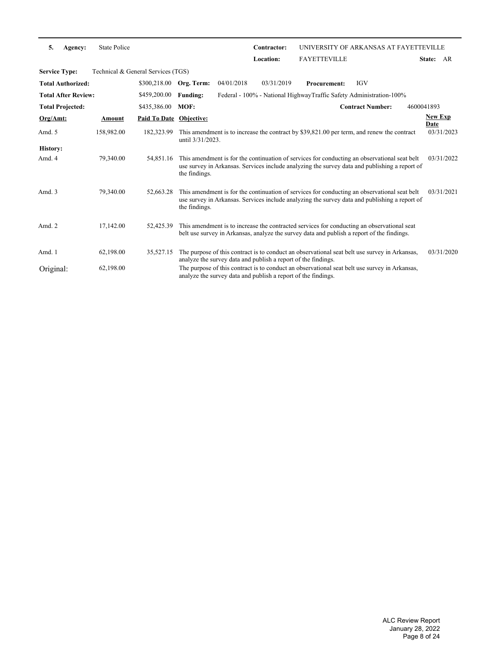| 5.                   | Agency:                    | <b>State Police</b>                |                         |                     |                                                               | Contractor: | UNIVERSITY OF ARKANSAS AT FAYETTEVILLE                                                                                                                                                        |                         |                        |            |
|----------------------|----------------------------|------------------------------------|-------------------------|---------------------|---------------------------------------------------------------|-------------|-----------------------------------------------------------------------------------------------------------------------------------------------------------------------------------------------|-------------------------|------------------------|------------|
|                      |                            |                                    |                         |                     |                                                               | Location:   | <b>FAYETTEVILLE</b>                                                                                                                                                                           |                         | State: AR              |            |
| <b>Service Type:</b> |                            | Technical & General Services (TGS) |                         |                     |                                                               |             |                                                                                                                                                                                               |                         |                        |            |
|                      | <b>Total Authorized:</b>   |                                    | \$300,218.00            | Org. Term:          | 04/01/2018                                                    | 03/31/2019  | <b>Procurement:</b>                                                                                                                                                                           | <b>IGV</b>              |                        |            |
|                      | <b>Total After Review:</b> |                                    | \$459,200.00            | <b>Funding:</b>     |                                                               |             | Federal - 100% - National HighwayTraffic Safety Administration-100%                                                                                                                           |                         |                        |            |
|                      | <b>Total Projected:</b>    |                                    | \$435,386.00            | MOF:                |                                                               |             |                                                                                                                                                                                               | <b>Contract Number:</b> | 4600041893             |            |
| Org/Amt:             |                            | Amount                             | Paid To Date Objective: |                     |                                                               |             |                                                                                                                                                                                               |                         | <b>New Exp</b><br>Date |            |
| Amd. 5               |                            | 158,982.00                         | 182,323.99              | until $3/31/2023$ . |                                                               |             | This amendment is to increase the contract by \$39,821.00 per term, and renew the contract                                                                                                    |                         |                        | 03/31/2023 |
| <b>History:</b>      |                            |                                    |                         |                     |                                                               |             |                                                                                                                                                                                               |                         |                        |            |
| Amd. 4               |                            | 79,340.00                          | 54,851.16               | the findings.       |                                                               |             | This amendment is for the continuation of services for conducting an observational seat belt<br>use survey in Arkansas. Services include analyzing the survey data and publishing a report of |                         |                        | 03/31/2022 |
| Amd. 3               |                            | 79,340.00                          | 52,663.28               | the findings.       |                                                               |             | This amendment is for the continuation of services for conducting an observational seat belt<br>use survey in Arkansas. Services include analyzing the survey data and publishing a report of |                         |                        | 03/31/2021 |
| Amd. 2               |                            | 17,142.00                          | 52,425.39               |                     |                                                               |             | This amendment is to increase the contracted services for conducting an observational seat<br>belt use survey in Arkansas, analyze the survey data and publish a report of the findings.      |                         |                        |            |
| Amd. 1               |                            | 62,198.00                          | 35,527.15               |                     | analyze the survey data and publish a report of the findings. |             | The purpose of this contract is to conduct an observational seat belt use survey in Arkansas,                                                                                                 |                         |                        | 03/31/2020 |
| Original:            |                            | 62,198.00                          |                         |                     | analyze the survey data and publish a report of the findings. |             | The purpose of this contract is to conduct an observational seat belt use survey in Arkansas,                                                                                                 |                         |                        |            |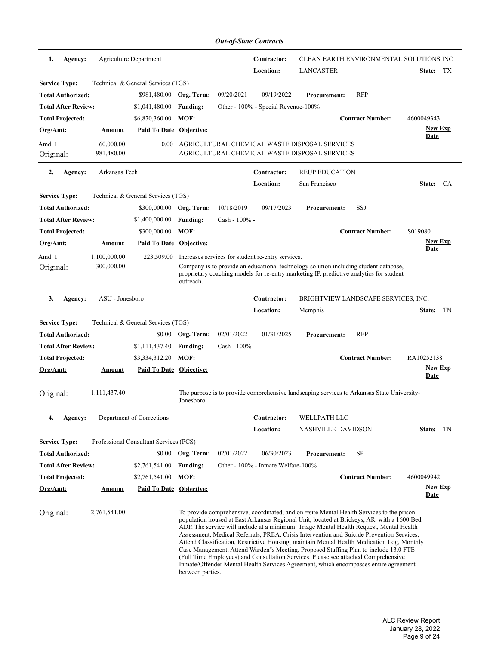| 1.                   | Agency:                    |                            | Agriculture Department                 |                   |                  | Contractor:<br>Location:                          | <b>LANCASTER</b>                                                                                                                                                                                                                                                                                                                                                                                                                                                                                                                                                                                                                                                                                                                                   |                         | CLEAN EARTH ENVIRONMENTAL SOLUTIONS INC<br>State: TX |
|----------------------|----------------------------|----------------------------|----------------------------------------|-------------------|------------------|---------------------------------------------------|----------------------------------------------------------------------------------------------------------------------------------------------------------------------------------------------------------------------------------------------------------------------------------------------------------------------------------------------------------------------------------------------------------------------------------------------------------------------------------------------------------------------------------------------------------------------------------------------------------------------------------------------------------------------------------------------------------------------------------------------------|-------------------------|------------------------------------------------------|
| <b>Service Type:</b> |                            |                            | Technical & General Services (TGS)     |                   |                  |                                                   |                                                                                                                                                                                                                                                                                                                                                                                                                                                                                                                                                                                                                                                                                                                                                    |                         |                                                      |
|                      | <b>Total Authorized:</b>   |                            | \$981,480.00                           | Org. Term:        | 09/20/2021       | 09/19/2022                                        | <b>Procurement:</b>                                                                                                                                                                                                                                                                                                                                                                                                                                                                                                                                                                                                                                                                                                                                | <b>RFP</b>              |                                                      |
|                      | <b>Total After Review:</b> |                            | \$1,041,480.00                         | <b>Funding:</b>   |                  | Other - 100% - Special Revenue-100%               |                                                                                                                                                                                                                                                                                                                                                                                                                                                                                                                                                                                                                                                                                                                                                    |                         |                                                      |
|                      | <b>Total Projected:</b>    |                            | \$6,870,360.00                         | MOF:              |                  |                                                   |                                                                                                                                                                                                                                                                                                                                                                                                                                                                                                                                                                                                                                                                                                                                                    | <b>Contract Number:</b> | 4600049343                                           |
| Org/Amt:             |                            | Amount                     | <b>Paid To Date Objective:</b>         |                   |                  |                                                   |                                                                                                                                                                                                                                                                                                                                                                                                                                                                                                                                                                                                                                                                                                                                                    |                         | <b>New Exp</b>                                       |
|                      |                            |                            |                                        |                   |                  |                                                   |                                                                                                                                                                                                                                                                                                                                                                                                                                                                                                                                                                                                                                                                                                                                                    |                         | Date                                                 |
| Amd. 1<br>Original:  |                            | 60,000.00<br>981,480.00    | 0.00                                   |                   |                  |                                                   | AGRICULTURAL CHEMICAL WASTE DISPOSAL SERVICES<br>AGRICULTURAL CHEMICAL WASTE DISPOSAL SERVICES                                                                                                                                                                                                                                                                                                                                                                                                                                                                                                                                                                                                                                                     |                         |                                                      |
| 2.                   | Agency:                    | Arkansas Tech              |                                        |                   |                  | Contractor:                                       | <b>REUP EDUCATION</b>                                                                                                                                                                                                                                                                                                                                                                                                                                                                                                                                                                                                                                                                                                                              |                         |                                                      |
|                      |                            |                            |                                        |                   |                  | Location:                                         | San Francisco                                                                                                                                                                                                                                                                                                                                                                                                                                                                                                                                                                                                                                                                                                                                      |                         | State: CA                                            |
| <b>Service Type:</b> |                            |                            | Technical & General Services (TGS)     |                   |                  |                                                   |                                                                                                                                                                                                                                                                                                                                                                                                                                                                                                                                                                                                                                                                                                                                                    |                         |                                                      |
|                      | <b>Total Authorized:</b>   |                            | \$300,000.00 Org. Term:                |                   | 10/18/2019       | 09/17/2023                                        | <b>Procurement:</b>                                                                                                                                                                                                                                                                                                                                                                                                                                                                                                                                                                                                                                                                                                                                | SSJ                     |                                                      |
|                      | <b>Total After Review:</b> |                            | \$1,400,000.00                         | <b>Funding:</b>   | Cash - 100% -    |                                                   |                                                                                                                                                                                                                                                                                                                                                                                                                                                                                                                                                                                                                                                                                                                                                    |                         |                                                      |
|                      | <b>Total Projected:</b>    |                            | \$300,000.00                           | MOF:              |                  |                                                   |                                                                                                                                                                                                                                                                                                                                                                                                                                                                                                                                                                                                                                                                                                                                                    | <b>Contract Number:</b> | S019080                                              |
| Org/Amt:             |                            | Amount                     | Paid To Date Objective:                |                   |                  |                                                   |                                                                                                                                                                                                                                                                                                                                                                                                                                                                                                                                                                                                                                                                                                                                                    |                         | <b>New Exp</b><br><b>Date</b>                        |
| Amd. 1<br>Original:  |                            | 1,100,000.00<br>300,000.00 | 223,509.00                             | outreach.         |                  | Increases services for student re-entry services. | Company is to provide an educational technology solution including student database,<br>proprietary coaching models for re-entry marketing IP, predictive analytics for student                                                                                                                                                                                                                                                                                                                                                                                                                                                                                                                                                                    |                         |                                                      |
| 3.                   | Agency:                    | ASU - Jonesboro            |                                        |                   |                  | Contractor:                                       | BRIGHTVIEW LANDSCAPE SERVICES, INC.                                                                                                                                                                                                                                                                                                                                                                                                                                                                                                                                                                                                                                                                                                                |                         |                                                      |
|                      |                            |                            |                                        |                   |                  | Location:                                         | Memphis                                                                                                                                                                                                                                                                                                                                                                                                                                                                                                                                                                                                                                                                                                                                            |                         | State: TN                                            |
| <b>Service Type:</b> |                            |                            | Technical & General Services (TGS)     |                   |                  |                                                   |                                                                                                                                                                                                                                                                                                                                                                                                                                                                                                                                                                                                                                                                                                                                                    |                         |                                                      |
|                      | <b>Total Authorized:</b>   |                            | \$0.00                                 | Org. Term:        | 02/01/2022       | 01/31/2025                                        | <b>Procurement:</b>                                                                                                                                                                                                                                                                                                                                                                                                                                                                                                                                                                                                                                                                                                                                | <b>RFP</b>              |                                                      |
|                      | <b>Total After Review:</b> |                            | \$1,111,437.40                         | <b>Funding:</b>   | $Cash - 100\% -$ |                                                   |                                                                                                                                                                                                                                                                                                                                                                                                                                                                                                                                                                                                                                                                                                                                                    |                         |                                                      |
|                      | <b>Total Projected:</b>    |                            | \$3,334,312.20                         | MOF:              |                  |                                                   |                                                                                                                                                                                                                                                                                                                                                                                                                                                                                                                                                                                                                                                                                                                                                    | <b>Contract Number:</b> | RA10252138                                           |
| Org/Amt:             |                            | <b>Amount</b>              | Paid To Date Objective:                |                   |                  |                                                   |                                                                                                                                                                                                                                                                                                                                                                                                                                                                                                                                                                                                                                                                                                                                                    |                         | <b>New Exp</b><br>Date                               |
| Original:            |                            | 1,111,437.40               |                                        | Jonesboro.        |                  |                                                   | The purpose is to provide comprehensive landscaping services to Arkansas State University-                                                                                                                                                                                                                                                                                                                                                                                                                                                                                                                                                                                                                                                         |                         |                                                      |
| 4.                   | Agency:                    |                            | Department of Corrections              |                   |                  | Contractor:                                       | WELLPATH LLC                                                                                                                                                                                                                                                                                                                                                                                                                                                                                                                                                                                                                                                                                                                                       |                         |                                                      |
|                      |                            |                            |                                        |                   |                  | Location:                                         | NASHVILLE-DAVIDSON                                                                                                                                                                                                                                                                                                                                                                                                                                                                                                                                                                                                                                                                                                                                 |                         | State: TN                                            |
| <b>Service Type:</b> |                            |                            | Professional Consultant Services (PCS) |                   |                  |                                                   |                                                                                                                                                                                                                                                                                                                                                                                                                                                                                                                                                                                                                                                                                                                                                    |                         |                                                      |
|                      | <b>Total Authorized:</b>   |                            |                                        | \$0.00 Org. Term: | 02/01/2022       | 06/30/2023                                        | <b>Procurement:</b>                                                                                                                                                                                                                                                                                                                                                                                                                                                                                                                                                                                                                                                                                                                                | SP                      |                                                      |
|                      | <b>Total After Review:</b> |                            | \$2,761,541.00                         | <b>Funding:</b>   |                  | Other - 100% - Inmate Welfare-100%                |                                                                                                                                                                                                                                                                                                                                                                                                                                                                                                                                                                                                                                                                                                                                                    |                         |                                                      |
|                      | <b>Total Projected:</b>    |                            | \$2,761,541.00                         | MOF:              |                  |                                                   |                                                                                                                                                                                                                                                                                                                                                                                                                                                                                                                                                                                                                                                                                                                                                    | <b>Contract Number:</b> | 4600049942                                           |
| Org/Amt:             |                            | <u>Amount</u>              | Paid To Date Objective:                |                   |                  |                                                   |                                                                                                                                                                                                                                                                                                                                                                                                                                                                                                                                                                                                                                                                                                                                                    |                         | <u>New Exp</u><br><u>Date</u>                        |
| Original:            |                            | 2,761,541.00               |                                        | between parties.  |                  |                                                   | To provide comprehensive, coordinated, and on-site Mental Health Services to the prison<br>population housed at East Arkansas Regional Unit, located at Brickeys, AR. with a 1600 Bed<br>ADP. The service will include at a minimum: Triage Mental Health Request, Mental Health<br>Assessment, Medical Referrals, PREA, Crisis Intervention and Suicide Prevention Services,<br>Attend Classification, Restrictive Housing, maintain Mental Health Medication Log, Monthly<br>Case Management, Attend Warden''s Meeting. Proposed Staffing Plan to include 13.0 FTE<br>(Full Time Employees) and Consultation Services. Please see attached Comprehensive<br>Inmate/Offender Mental Health Services Agreement, which encompasses entire agreement |                         |                                                      |

*Out-of-State Contracts*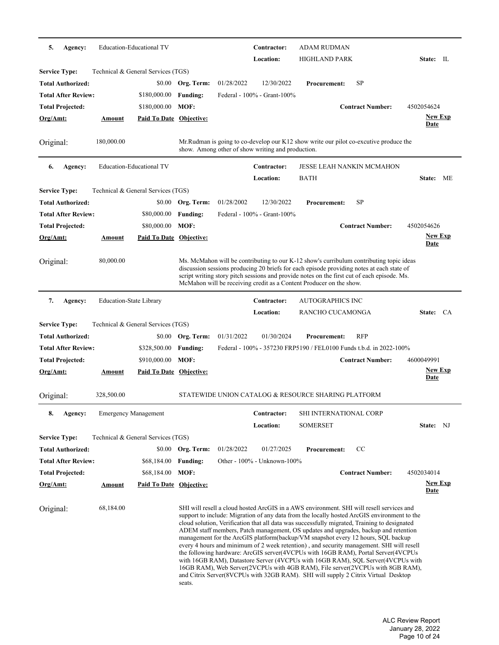| 5.                   | Agency:                    |                                | Education-Educational TV           |                 |                                                   | Contractor: | <b>ADAM RUDMAN</b>                                                                                                                                                                                                                                                                                                                                                                                                                                                                                                                                                                                                                                                                                                                                                                                                                                                                                            |                                  |                               |      |
|----------------------|----------------------------|--------------------------------|------------------------------------|-----------------|---------------------------------------------------|-------------|---------------------------------------------------------------------------------------------------------------------------------------------------------------------------------------------------------------------------------------------------------------------------------------------------------------------------------------------------------------------------------------------------------------------------------------------------------------------------------------------------------------------------------------------------------------------------------------------------------------------------------------------------------------------------------------------------------------------------------------------------------------------------------------------------------------------------------------------------------------------------------------------------------------|----------------------------------|-------------------------------|------|
|                      |                            |                                |                                    |                 |                                                   | Location:   | <b>HIGHLAND PARK</b>                                                                                                                                                                                                                                                                                                                                                                                                                                                                                                                                                                                                                                                                                                                                                                                                                                                                                          |                                  | State: IL                     |      |
| <b>Service Type:</b> |                            |                                | Technical & General Services (TGS) |                 |                                                   |             |                                                                                                                                                                                                                                                                                                                                                                                                                                                                                                                                                                                                                                                                                                                                                                                                                                                                                                               |                                  |                               |      |
|                      | Total Authorized:          |                                | \$0.00                             | Org. Term:      | 01/28/2022                                        | 12/30/2022  | <b>Procurement:</b>                                                                                                                                                                                                                                                                                                                                                                                                                                                                                                                                                                                                                                                                                                                                                                                                                                                                                           | SP                               |                               |      |
|                      | <b>Total After Review:</b> |                                | \$180,000.00                       | <b>Funding:</b> | Federal - 100% - Grant-100%                       |             |                                                                                                                                                                                                                                                                                                                                                                                                                                                                                                                                                                                                                                                                                                                                                                                                                                                                                                               |                                  |                               |      |
|                      | <b>Total Projected:</b>    |                                | \$180,000.00                       | MOF:            |                                                   |             |                                                                                                                                                                                                                                                                                                                                                                                                                                                                                                                                                                                                                                                                                                                                                                                                                                                                                                               | <b>Contract Number:</b>          | 4502054624                    |      |
| Org/Amt:             |                            | <u>Amount</u>                  | <b>Paid To Date Objective:</b>     |                 |                                                   |             |                                                                                                                                                                                                                                                                                                                                                                                                                                                                                                                                                                                                                                                                                                                                                                                                                                                                                                               |                                  | <b>New Exp</b><br>Date        |      |
| Original:            |                            | 180,000.00                     |                                    |                 | show. Among other of show writing and production. |             | Mr. Rudman is going to co-develop our K12 show write our pilot co-excutive produce the                                                                                                                                                                                                                                                                                                                                                                                                                                                                                                                                                                                                                                                                                                                                                                                                                        |                                  |                               |      |
| 6.                   | Agency:                    |                                | <b>Education-Educational TV</b>    |                 |                                                   | Contractor: |                                                                                                                                                                                                                                                                                                                                                                                                                                                                                                                                                                                                                                                                                                                                                                                                                                                                                                               | <b>JESSE LEAH NANKIN MCMAHON</b> |                               |      |
|                      |                            |                                |                                    |                 |                                                   | Location:   | <b>BATH</b>                                                                                                                                                                                                                                                                                                                                                                                                                                                                                                                                                                                                                                                                                                                                                                                                                                                                                                   |                                  | State:                        | ME   |
| <b>Service Type:</b> |                            |                                | Technical & General Services (TGS) |                 |                                                   |             |                                                                                                                                                                                                                                                                                                                                                                                                                                                                                                                                                                                                                                                                                                                                                                                                                                                                                                               |                                  |                               |      |
|                      | Total Authorized:          |                                | \$0.00                             | Org. Term:      | 01/28/2002                                        | 12/30/2022  | <b>Procurement:</b>                                                                                                                                                                                                                                                                                                                                                                                                                                                                                                                                                                                                                                                                                                                                                                                                                                                                                           | SP                               |                               |      |
|                      | <b>Total After Review:</b> |                                | \$80,000.00                        | <b>Funding:</b> | Federal - 100% - Grant-100%                       |             |                                                                                                                                                                                                                                                                                                                                                                                                                                                                                                                                                                                                                                                                                                                                                                                                                                                                                                               |                                  |                               |      |
|                      | <b>Total Projected:</b>    |                                | \$80,000.00                        | MOF:            |                                                   |             |                                                                                                                                                                                                                                                                                                                                                                                                                                                                                                                                                                                                                                                                                                                                                                                                                                                                                                               | <b>Contract Number:</b>          | 4502054626                    |      |
| Org/Amt:             |                            | Amount                         | Paid To Date Objective:            |                 |                                                   |             |                                                                                                                                                                                                                                                                                                                                                                                                                                                                                                                                                                                                                                                                                                                                                                                                                                                                                                               |                                  | <b>New Exp</b><br>Date        |      |
| Original:            |                            | 80,000.00                      |                                    |                 |                                                   |             | Ms. McMahon will be contributing to our K-12 show's curribulum contributing topic ideas<br>discussion sessions producing 20 briefs for each episode providing notes at each state of<br>script writing story pitch sessions and provide notes on the first cut of each episode. Ms.<br>McMahon will be receiving credit as a Content Producer on the show.                                                                                                                                                                                                                                                                                                                                                                                                                                                                                                                                                    |                                  |                               |      |
| 7.                   | Agency:                    | <b>Education-State Library</b> |                                    |                 |                                                   | Contractor: | <b>AUTOGRAPHICS INC</b>                                                                                                                                                                                                                                                                                                                                                                                                                                                                                                                                                                                                                                                                                                                                                                                                                                                                                       |                                  |                               |      |
|                      |                            |                                |                                    |                 |                                                   | Location:   | RANCHO CUCAMONGA                                                                                                                                                                                                                                                                                                                                                                                                                                                                                                                                                                                                                                                                                                                                                                                                                                                                                              |                                  | State:                        | - CA |
| <b>Service Type:</b> |                            |                                | Technical & General Services (TGS) |                 |                                                   |             |                                                                                                                                                                                                                                                                                                                                                                                                                                                                                                                                                                                                                                                                                                                                                                                                                                                                                                               |                                  |                               |      |
|                      | Total Authorized:          |                                | \$0.00                             | Org. Term:      | 01/31/2022                                        | 01/30/2024  | <b>Procurement:</b>                                                                                                                                                                                                                                                                                                                                                                                                                                                                                                                                                                                                                                                                                                                                                                                                                                                                                           | <b>RFP</b>                       |                               |      |
|                      | <b>Total After Review:</b> |                                | \$328,500.00                       | <b>Funding:</b> |                                                   |             | Federal - 100% - 357230 FRP5190 / FEL0100 Funds t.b.d. in 2022-100%                                                                                                                                                                                                                                                                                                                                                                                                                                                                                                                                                                                                                                                                                                                                                                                                                                           |                                  |                               |      |
|                      | <b>Total Projected:</b>    |                                | \$910,000.00                       | MOF:            |                                                   |             |                                                                                                                                                                                                                                                                                                                                                                                                                                                                                                                                                                                                                                                                                                                                                                                                                                                                                                               | <b>Contract Number:</b>          | 4600049991                    |      |
| Org/Amt:             |                            | Amount                         | Paid To Date Objective:            |                 |                                                   |             |                                                                                                                                                                                                                                                                                                                                                                                                                                                                                                                                                                                                                                                                                                                                                                                                                                                                                                               |                                  | <b>New Exp</b><br><b>Date</b> |      |
| Original:            |                            | 328,500.00                     |                                    |                 |                                                   |             | STATEWIDE UNION CATALOG & RESOURCE SHARING PLATFORM                                                                                                                                                                                                                                                                                                                                                                                                                                                                                                                                                                                                                                                                                                                                                                                                                                                           |                                  |                               |      |
| 8.                   | Agency:                    |                                | <b>Emergency Management</b>        |                 |                                                   | Contractor: | SHI INTERNATIONAL CORP                                                                                                                                                                                                                                                                                                                                                                                                                                                                                                                                                                                                                                                                                                                                                                                                                                                                                        |                                  |                               |      |
|                      |                            |                                |                                    |                 |                                                   | Location:   | SOMERSET                                                                                                                                                                                                                                                                                                                                                                                                                                                                                                                                                                                                                                                                                                                                                                                                                                                                                                      |                                  | State: NJ                     |      |
| <b>Service Type:</b> |                            |                                | Technical & General Services (TGS) |                 |                                                   |             |                                                                                                                                                                                                                                                                                                                                                                                                                                                                                                                                                                                                                                                                                                                                                                                                                                                                                                               |                                  |                               |      |
|                      | <b>Total Authorized:</b>   |                                | \$0.00                             | Org. Term:      | 01/28/2022                                        | 01/27/2025  | <b>Procurement:</b>                                                                                                                                                                                                                                                                                                                                                                                                                                                                                                                                                                                                                                                                                                                                                                                                                                                                                           | CC                               |                               |      |
|                      | <b>Total After Review:</b> |                                | \$68,184.00                        | <b>Funding:</b> | Other - 100% - Unknown-100%                       |             |                                                                                                                                                                                                                                                                                                                                                                                                                                                                                                                                                                                                                                                                                                                                                                                                                                                                                                               |                                  |                               |      |
|                      | <b>Total Projected:</b>    |                                | \$68,184.00                        | MOF:            |                                                   |             |                                                                                                                                                                                                                                                                                                                                                                                                                                                                                                                                                                                                                                                                                                                                                                                                                                                                                                               | <b>Contract Number:</b>          | 4502034014                    |      |
| <u> Org/Amt:</u>     |                            | <b>Amount</b>                  | <b>Paid To Date Objective:</b>     |                 |                                                   |             |                                                                                                                                                                                                                                                                                                                                                                                                                                                                                                                                                                                                                                                                                                                                                                                                                                                                                                               |                                  | <b>New Exp</b><br><b>Date</b> |      |
| Original:            |                            | 68,184.00                      |                                    | seats.          |                                                   |             | SHI will resell a cloud hosted ArcGIS in a AWS environment. SHI will resell services and<br>support to include: Migration of any data from the locally hosted ArcGIS environment to the<br>cloud solution, Verification that all data was successfully migrated, Training to designated<br>ADEM staff members, Patch management, OS updates and upgrades, backup and retention<br>management for the ArcGIS platform(backup/VM snapshot every 12 hours, SQL backup<br>every 4 hours and minimum of 2 week retention), and security management. SHI will resell<br>the following hardware: ArcGIS server(4VCPUs with 16GB RAM), Portal Server(4VCPUs<br>with 16GB RAM), Datastore Server (4VCPUs with 16GB RAM), SQL Server (4VCPUs with<br>16GB RAM), Web Server(2VCPUs with 4GB RAM), File server(2VCPUs with 8GB RAM),<br>and Citrix Server(8VCPUs with 32GB RAM). SHI will supply 2 Citrix Virtual Desktop |                                  |                               |      |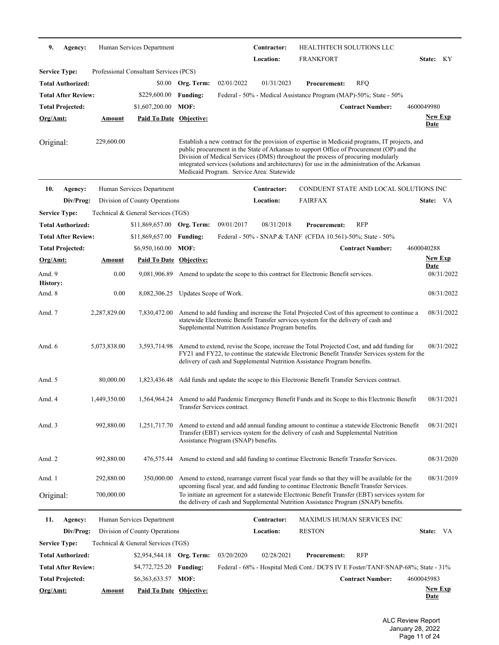| 9.                        | Agency:                    |               | Human Services Department              |                        |                                     | Contractor:<br>Location:                            | HEALTHTECH SOLUTIONS LLC<br><b>FRANKFORT</b>                                                                                                                                                                                                                                                                                                                                       |                                        | State: KY      |
|---------------------------|----------------------------|---------------|----------------------------------------|------------------------|-------------------------------------|-----------------------------------------------------|------------------------------------------------------------------------------------------------------------------------------------------------------------------------------------------------------------------------------------------------------------------------------------------------------------------------------------------------------------------------------------|----------------------------------------|----------------|
| <b>Service Type:</b>      |                            |               | Professional Consultant Services (PCS) |                        |                                     |                                                     |                                                                                                                                                                                                                                                                                                                                                                                    |                                        |                |
|                           | <b>Total Authorized:</b>   |               |                                        | \$0.00 Org. Term:      | 02/01/2022                          | 01/31/2023                                          | <b>Procurement:</b>                                                                                                                                                                                                                                                                                                                                                                | <b>RFQ</b>                             |                |
|                           | <b>Total After Review:</b> |               | \$229,600.00                           | <b>Funding:</b>        |                                     |                                                     | Federal - 50% - Medical Assistance Program (MAP)-50%; State - 50%                                                                                                                                                                                                                                                                                                                  |                                        |                |
|                           | <b>Total Projected:</b>    |               | \$1,607,200.00                         | MOF:                   |                                     |                                                     |                                                                                                                                                                                                                                                                                                                                                                                    | <b>Contract Number:</b>                | 4600049980     |
|                           |                            |               |                                        |                        |                                     |                                                     |                                                                                                                                                                                                                                                                                                                                                                                    |                                        | <b>New Exp</b> |
| Org/Amt:                  |                            | Amount        | <b>Paid To Date Objective:</b>         |                        |                                     |                                                     |                                                                                                                                                                                                                                                                                                                                                                                    |                                        | <b>Date</b>    |
| Original:                 |                            | 229,600.00    |                                        |                        |                                     | Medicaid Program. Service Area: Statewide           | Establish a new contract for the provision of expertise in Medicaid programs, IT projects, and<br>public procurement in the State of Arkansas to support Office of Procurement (OP) and the<br>Division of Medical Services (DMS) throughout the process of procuring modularly<br>integrated services (solutions and architectures) for use in the administration of the Arkansas |                                        |                |
| 10.                       | Agency:                    |               | Human Services Department              |                        |                                     | Contractor:                                         |                                                                                                                                                                                                                                                                                                                                                                                    | CONDUENT STATE AND LOCAL SOLUTIONS INC |                |
|                           | Div/Prog:                  |               | Division of County Operations          |                        |                                     | <b>Location:</b>                                    | <b>FAIRFAX</b>                                                                                                                                                                                                                                                                                                                                                                     |                                        | State: VA      |
| <b>Service Type:</b>      |                            |               | Technical & General Services (TGS)     |                        |                                     |                                                     |                                                                                                                                                                                                                                                                                                                                                                                    |                                        |                |
|                           | <b>Total Authorized:</b>   |               | $$11,869,657.00$ Org. Term:            |                        | 09/01/2017                          | 08/31/2018                                          | <b>Procurement:</b>                                                                                                                                                                                                                                                                                                                                                                | <b>RFP</b>                             |                |
|                           | <b>Total After Review:</b> |               | \$11,869,657.00                        | <b>Funding:</b>        |                                     |                                                     | Federal - 50% - SNAP & TANF (CFDA 10.561)-50%; State - 50%                                                                                                                                                                                                                                                                                                                         |                                        |                |
|                           | <b>Total Projected:</b>    |               | \$6,950,160.00                         | MOF:                   |                                     |                                                     |                                                                                                                                                                                                                                                                                                                                                                                    | <b>Contract Number:</b>                | 4600040288     |
| <u>Org/Amt:</u>           |                            | <u>Amount</u> | Paid To Date Objective:                |                        |                                     |                                                     |                                                                                                                                                                                                                                                                                                                                                                                    |                                        | <b>New Exp</b> |
|                           |                            |               |                                        |                        |                                     |                                                     |                                                                                                                                                                                                                                                                                                                                                                                    |                                        | <b>Date</b>    |
| Amd. 9                    |                            | 0.00          | 9,081,906.89                           |                        |                                     |                                                     | Amend to update the scope to this contract for Electronic Benefit services.                                                                                                                                                                                                                                                                                                        |                                        | 08/31/2022     |
| <b>History:</b><br>Amd. 8 |                            | 0.00          | 8,082,306.25                           | Updates Scope of Work. |                                     |                                                     |                                                                                                                                                                                                                                                                                                                                                                                    |                                        | 08/31/2022     |
|                           |                            |               |                                        |                        |                                     |                                                     |                                                                                                                                                                                                                                                                                                                                                                                    |                                        |                |
| Amd. 7                    |                            | 2,287,829.00  | 7,830,472.00                           |                        |                                     | Supplemental Nutrition Assistance Program benefits. | Amend to add funding and increase the Total Projected Cost of this agreement to continue a<br>statewide Electronic Benefit Transfer services system for the delivery of cash and                                                                                                                                                                                                   |                                        | 08/31/2022     |
| Amd. 6                    |                            | 5,073,838.00  | 3,593,714.98                           |                        |                                     |                                                     | Amend to extend, revise the Scope, increase the Total Projected Cost, and add funding for<br>FY21 and FY22, to continue the statewide Electronic Benefit Transfer Services system for the<br>delivery of cash and Supplemental Nutrition Assistance Program benefits.                                                                                                              |                                        | 08/31/2022     |
| Amd. 5                    |                            | 80,000.00     | 1,823,436.48                           |                        |                                     |                                                     | Add funds and update the scope to this Electronic Benefit Transfer Services contract.                                                                                                                                                                                                                                                                                              |                                        |                |
| Amd. 4                    |                            | 1,449,350.00  |                                        |                        | Transfer Services contract.         |                                                     | 1,564,964.24 Amend to add Pandemic Emergency Benefit Funds and its Scope to this Electronic Benefit                                                                                                                                                                                                                                                                                |                                        | 08/31/2021     |
| Amd. 3                    |                            | 992,880.00    | 1,251,717.70                           |                        | Assistance Program (SNAP) benefits. |                                                     | Amend to extend and add annual funding amount to continue a statewide Electronic Benefit<br>Transfer (EBT) services system for the delivery of cash and Supplemental Nutrition                                                                                                                                                                                                     |                                        | 08/31/2021     |
| Amd. 2                    |                            | 992,880.00    | 476,575.44                             |                        |                                     |                                                     | Amend to extend and add funding to continue Electronic Benefit Transfer Services.                                                                                                                                                                                                                                                                                                  |                                        | 08/31/2020     |
| Amd. 1                    |                            | 292,880.00    | 350,000.00                             |                        |                                     |                                                     | Amend to extend, rearrange current fiscal year funds so that they will be available for the                                                                                                                                                                                                                                                                                        |                                        | 08/31/2019     |
| Original:                 |                            | 700,000.00    |                                        |                        |                                     |                                                     | upcoming fiscal year, and add funding to continue Electronic Benefit Transfer Services.<br>To initiate an agreement for a statewide Electronic Benefit Transfer (EBT) services system for<br>the delivery of cash and Supplemental Nutrition Assistance Program (SNAP) benefits.                                                                                                   |                                        |                |
| 11.                       | Agency:                    |               | Human Services Department              |                        |                                     | Contractor:                                         |                                                                                                                                                                                                                                                                                                                                                                                    | <b>MAXIMUS HUMAN SERVICES INC</b>      |                |
|                           | Div/Prog:                  |               | Division of County Operations          |                        |                                     | Location:                                           | <b>RESTON</b>                                                                                                                                                                                                                                                                                                                                                                      |                                        | State: VA      |
| <b>Service Type:</b>      |                            |               | Technical & General Services (TGS)     |                        |                                     |                                                     |                                                                                                                                                                                                                                                                                                                                                                                    |                                        |                |
|                           | <b>Total Authorized:</b>   |               | \$2,954,544.18 Org. Term:              |                        | 03/20/2020                          | 02/28/2021                                          | <b>Procurement:</b>                                                                                                                                                                                                                                                                                                                                                                | <b>RFP</b>                             |                |
|                           | <b>Total After Review:</b> |               | \$4,772,725.20                         | <b>Funding:</b>        |                                     |                                                     | Federal - 68% - Hospital Medi Cont./ DCFS IV E Foster/TANF/SNAP-68%; State - 31%                                                                                                                                                                                                                                                                                                   |                                        |                |
|                           | <b>Total Projected:</b>    |               | \$6,363,633.57 MOF:                    |                        |                                     |                                                     |                                                                                                                                                                                                                                                                                                                                                                                    | <b>Contract Number:</b>                | 4600045983     |
| Org/Amt:                  |                            | <u>Amount</u> | <b>Paid To Date Objective:</b>         |                        |                                     |                                                     |                                                                                                                                                                                                                                                                                                                                                                                    |                                        | <b>New Exp</b> |
|                           |                            |               |                                        |                        |                                     |                                                     |                                                                                                                                                                                                                                                                                                                                                                                    |                                        | <b>Date</b>    |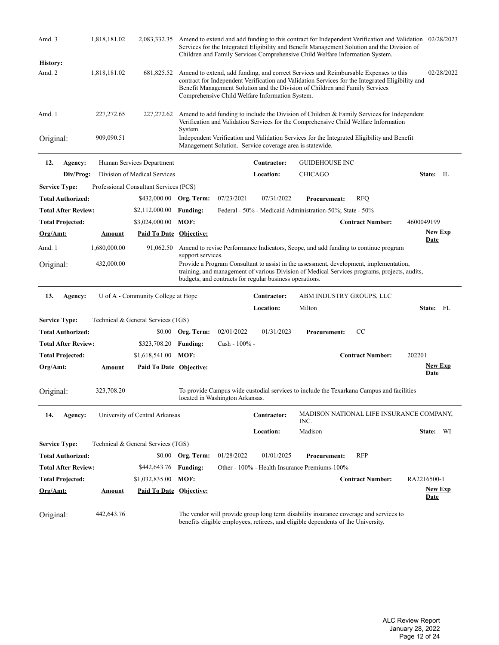| Amd. 3               |                            | 1,818,181.02  |                                                  |                   |                                 |                                                          | Services for the Integrated Eligibility and Benefit Management Solution and the Division of<br>Children and Family Services Comprehensive Child Welfare Information System.                                                                                              |                         | 2,083,332.35 Amend to extend and add funding to this contract for Independent Verification and Validation 02/28/2023 |
|----------------------|----------------------------|---------------|--------------------------------------------------|-------------------|---------------------------------|----------------------------------------------------------|--------------------------------------------------------------------------------------------------------------------------------------------------------------------------------------------------------------------------------------------------------------------------|-------------------------|----------------------------------------------------------------------------------------------------------------------|
| <b>History:</b>      |                            |               |                                                  |                   |                                 |                                                          |                                                                                                                                                                                                                                                                          |                         |                                                                                                                      |
| Amd. 2               |                            | 1,818,181.02  | 681,825.52                                       |                   |                                 | Comprehensive Child Welfare Information System.          | Amend to extend, add funding, and correct Services and Reimbursable Expenses to this<br>contract for Independent Verification and Validation Services for the Integrated Eligibility and<br>Benefit Management Solution and the Division of Children and Family Services |                         | 02/28/2022                                                                                                           |
| Amd. 1               |                            | 227, 272.65   | 227,272.62                                       | System.           |                                 |                                                          | Amend to add funding to include the Division of Children & Family Services for Independent<br>Verification and Validation Services for the Comprehensive Child Welfare Information                                                                                       |                         |                                                                                                                      |
| Original:            |                            | 909,090.51    |                                                  |                   |                                 | Management Solution. Service coverage area is statewide. | Independent Verification and Validation Services for the Integrated Eligibility and Benefit                                                                                                                                                                              |                         |                                                                                                                      |
| 12.                  | Agency:                    |               | Human Services Department                        |                   |                                 | Contractor:                                              | <b>GUIDEHOUSE INC</b>                                                                                                                                                                                                                                                    |                         |                                                                                                                      |
|                      | Div/Prog:                  |               | Division of Medical Services                     |                   |                                 | Location:                                                | <b>CHICAGO</b>                                                                                                                                                                                                                                                           |                         | State: IL                                                                                                            |
| <b>Service Type:</b> |                            |               | Professional Consultant Services (PCS)           |                   |                                 |                                                          |                                                                                                                                                                                                                                                                          |                         |                                                                                                                      |
|                      | <b>Total Authorized:</b>   |               | \$432,000.00 Org. Term:                          |                   | 07/23/2021                      | 07/31/2022                                               | <b>Procurement:</b>                                                                                                                                                                                                                                                      | <b>RFQ</b>              |                                                                                                                      |
|                      | <b>Total After Review:</b> |               | \$2,112,000.00                                   | <b>Funding:</b>   |                                 |                                                          | Federal - 50% - Medicaid Administration-50%; State - 50%                                                                                                                                                                                                                 |                         |                                                                                                                      |
|                      | <b>Total Projected:</b>    |               | \$3,024,000.00                                   | MOF:              |                                 |                                                          |                                                                                                                                                                                                                                                                          | <b>Contract Number:</b> | 4600049199                                                                                                           |
| <u>Org/Amt:</u>      |                            | Amount        | <b>Paid To Date Objective:</b>                   |                   |                                 |                                                          |                                                                                                                                                                                                                                                                          |                         | <b>New Exp</b>                                                                                                       |
| Amd. 1               |                            | 1,680,000.00  | 91,062.50                                        |                   |                                 |                                                          | Amend to revise Performance Indicators, Scope, and add funding to continue program                                                                                                                                                                                       |                         | <u>Date</u>                                                                                                          |
| Original:            |                            | 432,000.00    |                                                  | support services. |                                 |                                                          | Provide a Program Consultant to assist in the assessment, development, implementation,<br>training, and management of various Division of Medical Services programs, projects, audits,                                                                                   |                         |                                                                                                                      |
|                      |                            |               |                                                  |                   |                                 | budgets, and contracts for regular business operations.  |                                                                                                                                                                                                                                                                          |                         |                                                                                                                      |
|                      |                            |               |                                                  |                   |                                 |                                                          |                                                                                                                                                                                                                                                                          |                         |                                                                                                                      |
| 13.                  | Agency:                    |               | U of A - Community College at Hope               |                   |                                 | Contractor:                                              | ABM INDUSTRY GROUPS, LLC                                                                                                                                                                                                                                                 |                         |                                                                                                                      |
|                      |                            |               |                                                  |                   |                                 | Location:                                                | Milton                                                                                                                                                                                                                                                                   |                         | State: FL                                                                                                            |
| <b>Service Type:</b> |                            |               | Technical & General Services (TGS)               |                   |                                 |                                                          |                                                                                                                                                                                                                                                                          |                         |                                                                                                                      |
|                      | <b>Total Authorized:</b>   |               |                                                  | \$0.00 Org. Term: | 02/01/2022                      | 01/31/2023                                               | <b>Procurement:</b>                                                                                                                                                                                                                                                      | CC                      |                                                                                                                      |
|                      | <b>Total After Review:</b> |               | \$323,708.20                                     | <b>Funding:</b>   | Cash - 100% -                   |                                                          |                                                                                                                                                                                                                                                                          |                         |                                                                                                                      |
|                      | <b>Total Projected:</b>    |               | \$1,618,541.00                                   | MOF:              |                                 |                                                          |                                                                                                                                                                                                                                                                          | <b>Contract Number:</b> | 202201                                                                                                               |
| <u>Org/Amt:</u>      |                            | <u>Amount</u> | Paid To Date Objective:                          |                   |                                 |                                                          |                                                                                                                                                                                                                                                                          |                         | <u>New Exp</u><br>Date                                                                                               |
| Original:            |                            | 323,708.20    |                                                  |                   | located in Washington Arkansas. |                                                          | To provide Campus wide custodial services to include the Texarkana Campus and facilities                                                                                                                                                                                 |                         |                                                                                                                      |
| 14.                  | Agency:                    |               | University of Central Arkansas                   |                   |                                 | Contractor:                                              | INC.                                                                                                                                                                                                                                                                     |                         | MADISON NATIONAL LIFE INSURANCE COMPANY,                                                                             |
|                      |                            |               |                                                  |                   |                                 | Location:                                                | Madison                                                                                                                                                                                                                                                                  |                         | State: WI                                                                                                            |
| <b>Service Type:</b> |                            |               | Technical & General Services (TGS)               |                   |                                 |                                                          |                                                                                                                                                                                                                                                                          |                         |                                                                                                                      |
|                      |                            |               |                                                  |                   |                                 | 01/01/2025                                               |                                                                                                                                                                                                                                                                          | RFP                     |                                                                                                                      |
|                      | <b>Total Authorized:</b>   |               |                                                  | \$0.00 Org. Term: | 01/28/2022                      |                                                          | <b>Procurement:</b>                                                                                                                                                                                                                                                      |                         |                                                                                                                      |
|                      | <b>Total After Review:</b> |               | \$442,643.76                                     | <b>Funding:</b>   |                                 |                                                          | Other - 100% - Health Insurance Premiums-100%                                                                                                                                                                                                                            | <b>Contract Number:</b> | RA2216500-1                                                                                                          |
| <u>Org/Amt:</u>      | <b>Total Projected:</b>    | <u>Amount</u> | \$1,032,835.00<br><b>Paid To Date Objective:</b> | MOF:              |                                 |                                                          |                                                                                                                                                                                                                                                                          |                         | <b>New Exp</b><br><u>Date</u>                                                                                        |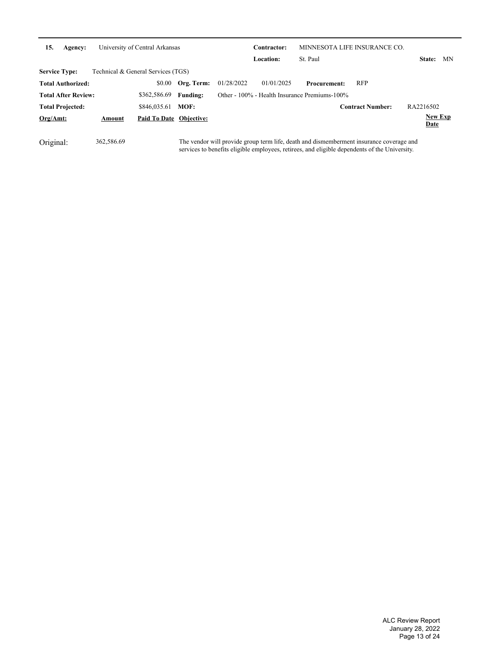| 15.<br>Agency:             |        | University of Central Arkansas     |                 |            | Contractor:      |                                               | MINNESOTA LIFE INSURANCE CO. |                               |     |
|----------------------------|--------|------------------------------------|-----------------|------------|------------------|-----------------------------------------------|------------------------------|-------------------------------|-----|
|                            |        |                                    |                 |            | <b>Location:</b> | St. Paul                                      |                              | <b>State:</b>                 | MN. |
| <b>Service Type:</b>       |        | Technical & General Services (TGS) |                 |            |                  |                                               |                              |                               |     |
| <b>Total Authorized:</b>   |        | \$0.00                             | Org. Term:      | 01/28/2022 | 01/01/2025       | <b>Procurement:</b>                           | <b>RFP</b>                   |                               |     |
| <b>Total After Review:</b> |        | \$362,586.69                       | <b>Funding:</b> |            |                  | Other - 100% - Health Insurance Premiums-100% |                              |                               |     |
| <b>Total Projected:</b>    |        | \$846,035.61                       | MOF:            |            |                  |                                               | <b>Contract Number:</b>      | RA2216502                     |     |
| Org/Amt:                   | Amount | Paid To Date Objective:            |                 |            |                  |                                               |                              | <b>New Exp</b><br><b>Date</b> |     |

Original: 362,586.69 The vendor will provide group term life, death and dismemberment insurance coverage and<br>services to benefits eligible employees, retirees, and eligible dependents of the University.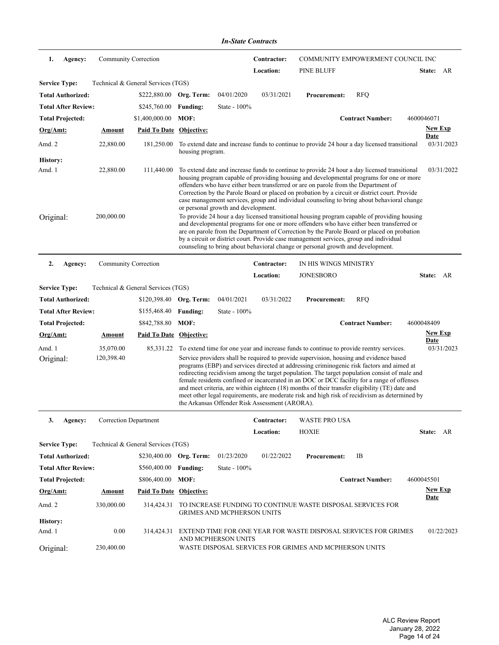| 1.<br>Community Correction<br>COMMUNITY EMPOWERMENT COUNCIL INC<br>Agency:<br>Contractor:<br>Location:<br><b>PINE BLUFF</b><br>State: AR<br>Technical & General Services (TGS)<br>04/01/2020<br><b>RFQ</b><br>\$222,880.00 Org. Term:<br>03/31/2021<br><b>Procurement:</b><br><b>Total After Review:</b><br>\$245,760.00<br><b>Funding:</b><br>State - $100\%$<br>\$1,400,000.00<br>MOF:<br><b>Contract Number:</b><br>4600046071<br><b>New Exp</b><br>Paid To Date Objective:<br><b>Amount</b><br>Date<br>22,880.00<br>03/31/2023<br>181,250.00<br>To extend date and increase funds to continue to provide 24 hour a day licensed transitional<br>housing program.<br>22,880.00<br>To extend date and increase funds to continue to provide 24 hour a day licensed transitional<br>111,440.00<br>03/31/2022<br>housing program capable of providing housing and developmental programs for one or more<br>offenders who have either been transferred or are on parole from the Department of<br>Correction by the Parole Board or placed on probation by a circuit or district court. Provide<br>case management services, group and individual counseling to bring about behavioral change<br>or personal growth and development.<br>200,000.00<br>To provide 24 hour a day licensed transitional housing program capable of providing housing<br>and developmental programs for one or more offenders who have either been transferred or<br>are on parole from the Department of Correction by the Parole Board or placed on probation<br>by a circuit or district court. Provide case management services, group and individual<br>counseling to bring about behavioral change or personal growth and development.<br>2.<br>Agency:<br>Community Correction<br>IN HIS WINGS MINISTRY<br>Contractor:<br><b>JONESBORO</b><br>Location:<br>State: AR<br>Technical & General Services (TGS)<br>04/01/2021<br>03/31/2022<br>\$120,398.40 Org. Term:<br><b>RFQ</b><br><b>Procurement:</b><br><b>Total After Review:</b><br>\$155,468.40<br>State - 100%<br><b>Funding:</b><br>MOF:<br><b>Contract Number:</b><br>\$842,788.80<br>4600048409<br><b>New Exp</b><br><b>Paid To Date Objective:</b><br><b>Amount</b><br>Date<br>35,070.00<br>To extend time for one year and increase funds to continue to provide reentry services.<br>03/31/2023<br>85,331.22<br>120,398.40<br>Service providers shall be required to provide supervision, housing and evidence based<br>programs (EBP) and services directed at addressing criminogenic risk factors and aimed at<br>redirecting recidivism among the target population. The target population consist of male and<br>female residents confined or incarcerated in an DOC or DCC facility for a range of offenses<br>and meet criteria, are within eighteen (18) months of their transfer eligibility (TE) date and<br>meet other legal requirements, are moderate risk and high risk of recidivism as determined by<br>the Arkansas Offender Risk Assessment (ARORA).<br>Correction Department<br>Contractor:<br><b>WASTE PRO USA</b><br>3.<br>Agency:<br>Location:<br><b>HOXIE</b><br>State: AR<br>Technical & General Services (TGS)<br>\$230,400.00 Org. Term:<br>01/23/2020<br>01/22/2022<br>IB<br><b>Procurement:</b><br><b>Total After Review:</b><br>\$560,400.00<br><b>Funding:</b><br>State - 100%<br>MOF:<br><b>Contract Number:</b><br>\$806,400.00<br>4600045501<br><b>New Exp</b><br>Paid To Date Objective:<br><b>Amount</b><br><b>Date</b><br>330,000.00<br>314,424.31<br>TO INCREASE FUNDING TO CONTINUE WASTE DISPOSAL SERVICES FOR<br><b>GRIMES AND MCPHERSON UNITS</b><br>EXTEND TIME FOR ONE YEAR FOR WASTE DISPOSAL SERVICES FOR GRIMES |                          |      |            | <b>In-State Contracts</b> |  |            |
|--------------------------------------------------------------------------------------------------------------------------------------------------------------------------------------------------------------------------------------------------------------------------------------------------------------------------------------------------------------------------------------------------------------------------------------------------------------------------------------------------------------------------------------------------------------------------------------------------------------------------------------------------------------------------------------------------------------------------------------------------------------------------------------------------------------------------------------------------------------------------------------------------------------------------------------------------------------------------------------------------------------------------------------------------------------------------------------------------------------------------------------------------------------------------------------------------------------------------------------------------------------------------------------------------------------------------------------------------------------------------------------------------------------------------------------------------------------------------------------------------------------------------------------------------------------------------------------------------------------------------------------------------------------------------------------------------------------------------------------------------------------------------------------------------------------------------------------------------------------------------------------------------------------------------------------------------------------------------------------------------------------------------------------------------------------------------------------------------------------------------------------------------------------------------------------------------------------------------------------------------------------------------------------------------------------------------------------------------------------------------------------------------------------------------------------------------------------------------------------------------------------------------------------------------------------------------------------------------------------------------------------------------------------------------------------------------------------------------------------------------------------------------------------------------------------------------------------------------------------------------------------------------------------------------------------------------------------------------------------------------------------------------------------------------------------------------------------------------------------------------------------------------------------------------------------------------------------------------------------------------------------------------------------------------------------------------------------------------------------------------------------------------------------------------------------------------------------------------------------------------------------------------------------------------------------------------------------------------------------------------------------------------------------------------------------------------------------|--------------------------|------|------------|---------------------------|--|------------|
|                                                                                                                                                                                                                                                                                                                                                                                                                                                                                                                                                                                                                                                                                                                                                                                                                                                                                                                                                                                                                                                                                                                                                                                                                                                                                                                                                                                                                                                                                                                                                                                                                                                                                                                                                                                                                                                                                                                                                                                                                                                                                                                                                                                                                                                                                                                                                                                                                                                                                                                                                                                                                                                                                                                                                                                                                                                                                                                                                                                                                                                                                                                                                                                                                                                                                                                                                                                                                                                                                                                                                                                                                                                                                                              |                          |      |            |                           |  |            |
|                                                                                                                                                                                                                                                                                                                                                                                                                                                                                                                                                                                                                                                                                                                                                                                                                                                                                                                                                                                                                                                                                                                                                                                                                                                                                                                                                                                                                                                                                                                                                                                                                                                                                                                                                                                                                                                                                                                                                                                                                                                                                                                                                                                                                                                                                                                                                                                                                                                                                                                                                                                                                                                                                                                                                                                                                                                                                                                                                                                                                                                                                                                                                                                                                                                                                                                                                                                                                                                                                                                                                                                                                                                                                                              |                          |      |            |                           |  |            |
|                                                                                                                                                                                                                                                                                                                                                                                                                                                                                                                                                                                                                                                                                                                                                                                                                                                                                                                                                                                                                                                                                                                                                                                                                                                                                                                                                                                                                                                                                                                                                                                                                                                                                                                                                                                                                                                                                                                                                                                                                                                                                                                                                                                                                                                                                                                                                                                                                                                                                                                                                                                                                                                                                                                                                                                                                                                                                                                                                                                                                                                                                                                                                                                                                                                                                                                                                                                                                                                                                                                                                                                                                                                                                                              | <b>Service Type:</b>     |      |            |                           |  |            |
|                                                                                                                                                                                                                                                                                                                                                                                                                                                                                                                                                                                                                                                                                                                                                                                                                                                                                                                                                                                                                                                                                                                                                                                                                                                                                                                                                                                                                                                                                                                                                                                                                                                                                                                                                                                                                                                                                                                                                                                                                                                                                                                                                                                                                                                                                                                                                                                                                                                                                                                                                                                                                                                                                                                                                                                                                                                                                                                                                                                                                                                                                                                                                                                                                                                                                                                                                                                                                                                                                                                                                                                                                                                                                                              | <b>Total Authorized:</b> |      |            |                           |  |            |
|                                                                                                                                                                                                                                                                                                                                                                                                                                                                                                                                                                                                                                                                                                                                                                                                                                                                                                                                                                                                                                                                                                                                                                                                                                                                                                                                                                                                                                                                                                                                                                                                                                                                                                                                                                                                                                                                                                                                                                                                                                                                                                                                                                                                                                                                                                                                                                                                                                                                                                                                                                                                                                                                                                                                                                                                                                                                                                                                                                                                                                                                                                                                                                                                                                                                                                                                                                                                                                                                                                                                                                                                                                                                                                              |                          |      |            |                           |  |            |
|                                                                                                                                                                                                                                                                                                                                                                                                                                                                                                                                                                                                                                                                                                                                                                                                                                                                                                                                                                                                                                                                                                                                                                                                                                                                                                                                                                                                                                                                                                                                                                                                                                                                                                                                                                                                                                                                                                                                                                                                                                                                                                                                                                                                                                                                                                                                                                                                                                                                                                                                                                                                                                                                                                                                                                                                                                                                                                                                                                                                                                                                                                                                                                                                                                                                                                                                                                                                                                                                                                                                                                                                                                                                                                              | <b>Total Projected:</b>  |      |            |                           |  |            |
|                                                                                                                                                                                                                                                                                                                                                                                                                                                                                                                                                                                                                                                                                                                                                                                                                                                                                                                                                                                                                                                                                                                                                                                                                                                                                                                                                                                                                                                                                                                                                                                                                                                                                                                                                                                                                                                                                                                                                                                                                                                                                                                                                                                                                                                                                                                                                                                                                                                                                                                                                                                                                                                                                                                                                                                                                                                                                                                                                                                                                                                                                                                                                                                                                                                                                                                                                                                                                                                                                                                                                                                                                                                                                                              | Org/Amt:                 |      |            |                           |  |            |
|                                                                                                                                                                                                                                                                                                                                                                                                                                                                                                                                                                                                                                                                                                                                                                                                                                                                                                                                                                                                                                                                                                                                                                                                                                                                                                                                                                                                                                                                                                                                                                                                                                                                                                                                                                                                                                                                                                                                                                                                                                                                                                                                                                                                                                                                                                                                                                                                                                                                                                                                                                                                                                                                                                                                                                                                                                                                                                                                                                                                                                                                                                                                                                                                                                                                                                                                                                                                                                                                                                                                                                                                                                                                                                              | Amd. 2                   |      |            |                           |  |            |
|                                                                                                                                                                                                                                                                                                                                                                                                                                                                                                                                                                                                                                                                                                                                                                                                                                                                                                                                                                                                                                                                                                                                                                                                                                                                                                                                                                                                                                                                                                                                                                                                                                                                                                                                                                                                                                                                                                                                                                                                                                                                                                                                                                                                                                                                                                                                                                                                                                                                                                                                                                                                                                                                                                                                                                                                                                                                                                                                                                                                                                                                                                                                                                                                                                                                                                                                                                                                                                                                                                                                                                                                                                                                                                              | <b>History:</b>          |      |            |                           |  |            |
|                                                                                                                                                                                                                                                                                                                                                                                                                                                                                                                                                                                                                                                                                                                                                                                                                                                                                                                                                                                                                                                                                                                                                                                                                                                                                                                                                                                                                                                                                                                                                                                                                                                                                                                                                                                                                                                                                                                                                                                                                                                                                                                                                                                                                                                                                                                                                                                                                                                                                                                                                                                                                                                                                                                                                                                                                                                                                                                                                                                                                                                                                                                                                                                                                                                                                                                                                                                                                                                                                                                                                                                                                                                                                                              | Amd. 1                   |      |            |                           |  |            |
|                                                                                                                                                                                                                                                                                                                                                                                                                                                                                                                                                                                                                                                                                                                                                                                                                                                                                                                                                                                                                                                                                                                                                                                                                                                                                                                                                                                                                                                                                                                                                                                                                                                                                                                                                                                                                                                                                                                                                                                                                                                                                                                                                                                                                                                                                                                                                                                                                                                                                                                                                                                                                                                                                                                                                                                                                                                                                                                                                                                                                                                                                                                                                                                                                                                                                                                                                                                                                                                                                                                                                                                                                                                                                                              | Original:                |      |            |                           |  |            |
|                                                                                                                                                                                                                                                                                                                                                                                                                                                                                                                                                                                                                                                                                                                                                                                                                                                                                                                                                                                                                                                                                                                                                                                                                                                                                                                                                                                                                                                                                                                                                                                                                                                                                                                                                                                                                                                                                                                                                                                                                                                                                                                                                                                                                                                                                                                                                                                                                                                                                                                                                                                                                                                                                                                                                                                                                                                                                                                                                                                                                                                                                                                                                                                                                                                                                                                                                                                                                                                                                                                                                                                                                                                                                                              |                          |      |            |                           |  |            |
|                                                                                                                                                                                                                                                                                                                                                                                                                                                                                                                                                                                                                                                                                                                                                                                                                                                                                                                                                                                                                                                                                                                                                                                                                                                                                                                                                                                                                                                                                                                                                                                                                                                                                                                                                                                                                                                                                                                                                                                                                                                                                                                                                                                                                                                                                                                                                                                                                                                                                                                                                                                                                                                                                                                                                                                                                                                                                                                                                                                                                                                                                                                                                                                                                                                                                                                                                                                                                                                                                                                                                                                                                                                                                                              |                          |      |            |                           |  |            |
|                                                                                                                                                                                                                                                                                                                                                                                                                                                                                                                                                                                                                                                                                                                                                                                                                                                                                                                                                                                                                                                                                                                                                                                                                                                                                                                                                                                                                                                                                                                                                                                                                                                                                                                                                                                                                                                                                                                                                                                                                                                                                                                                                                                                                                                                                                                                                                                                                                                                                                                                                                                                                                                                                                                                                                                                                                                                                                                                                                                                                                                                                                                                                                                                                                                                                                                                                                                                                                                                                                                                                                                                                                                                                                              | <b>Service Type:</b>     |      |            |                           |  |            |
|                                                                                                                                                                                                                                                                                                                                                                                                                                                                                                                                                                                                                                                                                                                                                                                                                                                                                                                                                                                                                                                                                                                                                                                                                                                                                                                                                                                                                                                                                                                                                                                                                                                                                                                                                                                                                                                                                                                                                                                                                                                                                                                                                                                                                                                                                                                                                                                                                                                                                                                                                                                                                                                                                                                                                                                                                                                                                                                                                                                                                                                                                                                                                                                                                                                                                                                                                                                                                                                                                                                                                                                                                                                                                                              | <b>Total Authorized:</b> |      |            |                           |  |            |
|                                                                                                                                                                                                                                                                                                                                                                                                                                                                                                                                                                                                                                                                                                                                                                                                                                                                                                                                                                                                                                                                                                                                                                                                                                                                                                                                                                                                                                                                                                                                                                                                                                                                                                                                                                                                                                                                                                                                                                                                                                                                                                                                                                                                                                                                                                                                                                                                                                                                                                                                                                                                                                                                                                                                                                                                                                                                                                                                                                                                                                                                                                                                                                                                                                                                                                                                                                                                                                                                                                                                                                                                                                                                                                              |                          |      |            |                           |  |            |
|                                                                                                                                                                                                                                                                                                                                                                                                                                                                                                                                                                                                                                                                                                                                                                                                                                                                                                                                                                                                                                                                                                                                                                                                                                                                                                                                                                                                                                                                                                                                                                                                                                                                                                                                                                                                                                                                                                                                                                                                                                                                                                                                                                                                                                                                                                                                                                                                                                                                                                                                                                                                                                                                                                                                                                                                                                                                                                                                                                                                                                                                                                                                                                                                                                                                                                                                                                                                                                                                                                                                                                                                                                                                                                              | <b>Total Projected:</b>  |      |            |                           |  |            |
|                                                                                                                                                                                                                                                                                                                                                                                                                                                                                                                                                                                                                                                                                                                                                                                                                                                                                                                                                                                                                                                                                                                                                                                                                                                                                                                                                                                                                                                                                                                                                                                                                                                                                                                                                                                                                                                                                                                                                                                                                                                                                                                                                                                                                                                                                                                                                                                                                                                                                                                                                                                                                                                                                                                                                                                                                                                                                                                                                                                                                                                                                                                                                                                                                                                                                                                                                                                                                                                                                                                                                                                                                                                                                                              | <u>Org/Amt:</u>          |      |            |                           |  |            |
|                                                                                                                                                                                                                                                                                                                                                                                                                                                                                                                                                                                                                                                                                                                                                                                                                                                                                                                                                                                                                                                                                                                                                                                                                                                                                                                                                                                                                                                                                                                                                                                                                                                                                                                                                                                                                                                                                                                                                                                                                                                                                                                                                                                                                                                                                                                                                                                                                                                                                                                                                                                                                                                                                                                                                                                                                                                                                                                                                                                                                                                                                                                                                                                                                                                                                                                                                                                                                                                                                                                                                                                                                                                                                                              | Amd. 1<br>Original:      |      |            |                           |  |            |
|                                                                                                                                                                                                                                                                                                                                                                                                                                                                                                                                                                                                                                                                                                                                                                                                                                                                                                                                                                                                                                                                                                                                                                                                                                                                                                                                                                                                                                                                                                                                                                                                                                                                                                                                                                                                                                                                                                                                                                                                                                                                                                                                                                                                                                                                                                                                                                                                                                                                                                                                                                                                                                                                                                                                                                                                                                                                                                                                                                                                                                                                                                                                                                                                                                                                                                                                                                                                                                                                                                                                                                                                                                                                                                              |                          |      |            |                           |  |            |
|                                                                                                                                                                                                                                                                                                                                                                                                                                                                                                                                                                                                                                                                                                                                                                                                                                                                                                                                                                                                                                                                                                                                                                                                                                                                                                                                                                                                                                                                                                                                                                                                                                                                                                                                                                                                                                                                                                                                                                                                                                                                                                                                                                                                                                                                                                                                                                                                                                                                                                                                                                                                                                                                                                                                                                                                                                                                                                                                                                                                                                                                                                                                                                                                                                                                                                                                                                                                                                                                                                                                                                                                                                                                                                              |                          |      |            |                           |  |            |
|                                                                                                                                                                                                                                                                                                                                                                                                                                                                                                                                                                                                                                                                                                                                                                                                                                                                                                                                                                                                                                                                                                                                                                                                                                                                                                                                                                                                                                                                                                                                                                                                                                                                                                                                                                                                                                                                                                                                                                                                                                                                                                                                                                                                                                                                                                                                                                                                                                                                                                                                                                                                                                                                                                                                                                                                                                                                                                                                                                                                                                                                                                                                                                                                                                                                                                                                                                                                                                                                                                                                                                                                                                                                                                              | <b>Service Type:</b>     |      |            |                           |  |            |
|                                                                                                                                                                                                                                                                                                                                                                                                                                                                                                                                                                                                                                                                                                                                                                                                                                                                                                                                                                                                                                                                                                                                                                                                                                                                                                                                                                                                                                                                                                                                                                                                                                                                                                                                                                                                                                                                                                                                                                                                                                                                                                                                                                                                                                                                                                                                                                                                                                                                                                                                                                                                                                                                                                                                                                                                                                                                                                                                                                                                                                                                                                                                                                                                                                                                                                                                                                                                                                                                                                                                                                                                                                                                                                              | <b>Total Authorized:</b> |      |            |                           |  |            |
|                                                                                                                                                                                                                                                                                                                                                                                                                                                                                                                                                                                                                                                                                                                                                                                                                                                                                                                                                                                                                                                                                                                                                                                                                                                                                                                                                                                                                                                                                                                                                                                                                                                                                                                                                                                                                                                                                                                                                                                                                                                                                                                                                                                                                                                                                                                                                                                                                                                                                                                                                                                                                                                                                                                                                                                                                                                                                                                                                                                                                                                                                                                                                                                                                                                                                                                                                                                                                                                                                                                                                                                                                                                                                                              |                          |      |            |                           |  |            |
|                                                                                                                                                                                                                                                                                                                                                                                                                                                                                                                                                                                                                                                                                                                                                                                                                                                                                                                                                                                                                                                                                                                                                                                                                                                                                                                                                                                                                                                                                                                                                                                                                                                                                                                                                                                                                                                                                                                                                                                                                                                                                                                                                                                                                                                                                                                                                                                                                                                                                                                                                                                                                                                                                                                                                                                                                                                                                                                                                                                                                                                                                                                                                                                                                                                                                                                                                                                                                                                                                                                                                                                                                                                                                                              | <b>Total Projected:</b>  |      |            |                           |  |            |
|                                                                                                                                                                                                                                                                                                                                                                                                                                                                                                                                                                                                                                                                                                                                                                                                                                                                                                                                                                                                                                                                                                                                                                                                                                                                                                                                                                                                                                                                                                                                                                                                                                                                                                                                                                                                                                                                                                                                                                                                                                                                                                                                                                                                                                                                                                                                                                                                                                                                                                                                                                                                                                                                                                                                                                                                                                                                                                                                                                                                                                                                                                                                                                                                                                                                                                                                                                                                                                                                                                                                                                                                                                                                                                              | Org/Amt:                 |      |            |                           |  |            |
|                                                                                                                                                                                                                                                                                                                                                                                                                                                                                                                                                                                                                                                                                                                                                                                                                                                                                                                                                                                                                                                                                                                                                                                                                                                                                                                                                                                                                                                                                                                                                                                                                                                                                                                                                                                                                                                                                                                                                                                                                                                                                                                                                                                                                                                                                                                                                                                                                                                                                                                                                                                                                                                                                                                                                                                                                                                                                                                                                                                                                                                                                                                                                                                                                                                                                                                                                                                                                                                                                                                                                                                                                                                                                                              | Amd. 2                   |      |            |                           |  |            |
|                                                                                                                                                                                                                                                                                                                                                                                                                                                                                                                                                                                                                                                                                                                                                                                                                                                                                                                                                                                                                                                                                                                                                                                                                                                                                                                                                                                                                                                                                                                                                                                                                                                                                                                                                                                                                                                                                                                                                                                                                                                                                                                                                                                                                                                                                                                                                                                                                                                                                                                                                                                                                                                                                                                                                                                                                                                                                                                                                                                                                                                                                                                                                                                                                                                                                                                                                                                                                                                                                                                                                                                                                                                                                                              | <b>History:</b>          |      |            |                           |  |            |
| AND MCPHERSON UNITS<br>230,400.00<br>WASTE DISPOSAL SERVICES FOR GRIMES AND MCPHERSON UNITS                                                                                                                                                                                                                                                                                                                                                                                                                                                                                                                                                                                                                                                                                                                                                                                                                                                                                                                                                                                                                                                                                                                                                                                                                                                                                                                                                                                                                                                                                                                                                                                                                                                                                                                                                                                                                                                                                                                                                                                                                                                                                                                                                                                                                                                                                                                                                                                                                                                                                                                                                                                                                                                                                                                                                                                                                                                                                                                                                                                                                                                                                                                                                                                                                                                                                                                                                                                                                                                                                                                                                                                                                  | Amd. 1<br>Original:      | 0.00 | 314,424.31 |                           |  | 01/22/2023 |

ALC Review Report January 28, 2022 Page 14 of 24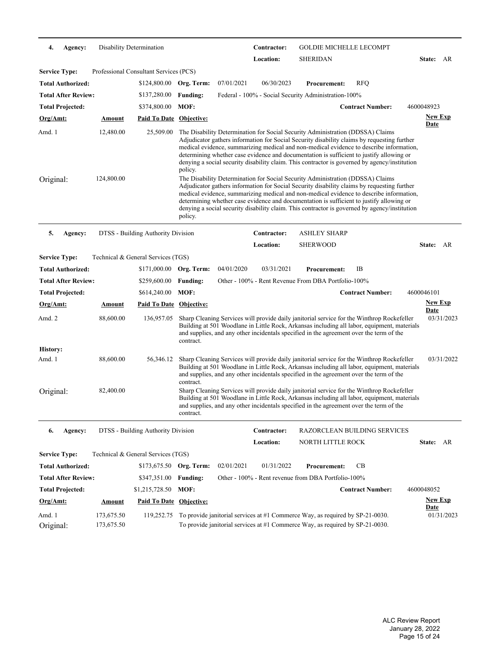| 4.                   | Agency:                    |               | Disability Determination               |                 |            | Contractor:      | <b>GOLDIE MICHELLE LECOMPT</b>                                                                                                                                                                                                                                                                                                                                                                                                                                        |                         |                               |            |
|----------------------|----------------------------|---------------|----------------------------------------|-----------------|------------|------------------|-----------------------------------------------------------------------------------------------------------------------------------------------------------------------------------------------------------------------------------------------------------------------------------------------------------------------------------------------------------------------------------------------------------------------------------------------------------------------|-------------------------|-------------------------------|------------|
|                      |                            |               |                                        |                 |            | Location:        | <b>SHERIDAN</b>                                                                                                                                                                                                                                                                                                                                                                                                                                                       |                         | State: AR                     |            |
| <b>Service Type:</b> |                            |               | Professional Consultant Services (PCS) |                 |            |                  |                                                                                                                                                                                                                                                                                                                                                                                                                                                                       |                         |                               |            |
|                      | <b>Total Authorized:</b>   |               | \$124,800.00 Org. Term:                |                 | 07/01/2021 | 06/30/2023       | <b>Procurement:</b>                                                                                                                                                                                                                                                                                                                                                                                                                                                   | <b>RFQ</b>              |                               |            |
|                      | <b>Total After Review:</b> |               | \$137,280.00                           | <b>Funding:</b> |            |                  | Federal - 100% - Social Security Administration-100%                                                                                                                                                                                                                                                                                                                                                                                                                  |                         |                               |            |
|                      | <b>Total Projected:</b>    |               | \$374,800.00                           | MOF:            |            |                  |                                                                                                                                                                                                                                                                                                                                                                                                                                                                       | <b>Contract Number:</b> | 4600048923                    |            |
| <u>Org/Amt:</u>      |                            | Amount        | <b>Paid To Date Objective:</b>         |                 |            |                  |                                                                                                                                                                                                                                                                                                                                                                                                                                                                       |                         | <b>New Exp</b><br><b>Date</b> |            |
| Amd. 1               |                            | 12,480.00     | 25,509.00                              | policy.         |            |                  | The Disability Determination for Social Security Administration (DDSSA) Claims<br>Adjudicator gathers information for Social Security disability claims by requesting further<br>medical evidence, summarizing medical and non-medical evidence to describe information,<br>determining whether case evidence and documentation is sufficient to justify allowing or<br>denying a social security disability claim. This contractor is governed by agency/institution |                         |                               |            |
| Original:            |                            | 124,800.00    |                                        | policy.         |            |                  | The Disability Determination for Social Security Administration (DDSSA) Claims<br>Adjudicator gathers information for Social Security disability claims by requesting further<br>medical evidence, summarizing medical and non-medical evidence to describe information,<br>determining whether case evidence and documentation is sufficient to justify allowing or<br>denying a social security disability claim. This contractor is governed by agency/institution |                         |                               |            |
| 5.                   | Agency:                    |               | DTSS - Building Authority Division     |                 |            | Contractor:      | <b>ASHLEY SHARP</b>                                                                                                                                                                                                                                                                                                                                                                                                                                                   |                         |                               |            |
|                      |                            |               |                                        |                 |            | <b>Location:</b> | <b>SHERWOOD</b>                                                                                                                                                                                                                                                                                                                                                                                                                                                       |                         | State: AR                     |            |
| <b>Service Type:</b> |                            |               | Technical & General Services (TGS)     |                 |            |                  |                                                                                                                                                                                                                                                                                                                                                                                                                                                                       |                         |                               |            |
|                      | <b>Total Authorized:</b>   |               | \$171,000.00                           | Org. Term:      | 04/01/2020 | 03/31/2021       | <b>Procurement:</b>                                                                                                                                                                                                                                                                                                                                                                                                                                                   | IB                      |                               |            |
|                      | <b>Total After Review:</b> |               | \$259,600.00                           | <b>Funding:</b> |            |                  | Other - 100% - Rent Revenue From DBA Portfolio-100%                                                                                                                                                                                                                                                                                                                                                                                                                   |                         |                               |            |
|                      | <b>Total Projected:</b>    |               | \$614,240.00                           | MOF:            |            |                  |                                                                                                                                                                                                                                                                                                                                                                                                                                                                       | <b>Contract Number:</b> | 4600046101                    |            |
| <u>Org/Amt:</u>      |                            | <u>Amount</u> | <b>Paid To Date Objective:</b>         |                 |            |                  |                                                                                                                                                                                                                                                                                                                                                                                                                                                                       |                         | <b>New Exp</b>                |            |
| Amd. 2               |                            | 88,600.00     | 136,957.05                             | contract.       |            |                  | Sharp Cleaning Services will provide daily janitorial service for the Winthrop Rockefeller<br>Building at 501 Woodlane in Little Rock, Arkansas including all labor, equipment, materials<br>and supplies, and any other incidentals specified in the agreement over the term of the                                                                                                                                                                                  |                         | <b>Date</b>                   | 03/31/2023 |
| <b>History:</b>      |                            |               |                                        |                 |            |                  |                                                                                                                                                                                                                                                                                                                                                                                                                                                                       |                         |                               |            |
| Amd. 1               |                            | 88,600.00     | 56,346.12                              | contract.       |            |                  | Sharp Cleaning Services will provide daily janitorial service for the Winthrop Rockefeller<br>Building at 501 Woodlane in Little Rock, Arkansas including all labor, equipment, materials<br>and supplies, and any other incidentals specified in the agreement over the term of the                                                                                                                                                                                  |                         |                               | 03/31/2022 |
| Original:            |                            | 82,400.00     |                                        | contract.       |            |                  | Sharp Cleaning Services will provide daily janitorial service for the Winthrop Rockefeller<br>Building at 501 Woodlane in Little Rock, Arkansas including all labor, equipment, materials<br>and supplies, and any other incidentals specified in the agreement over the term of the                                                                                                                                                                                  |                         |                               |            |
| 6.                   | Agency:                    |               | DTSS - Building Authority Division     |                 |            | Contractor:      | <b>RAZORCLEAN BUILDING SERVICES</b>                                                                                                                                                                                                                                                                                                                                                                                                                                   |                         |                               |            |
|                      |                            |               |                                        |                 |            | Location:        | NORTH LITTLE ROCK                                                                                                                                                                                                                                                                                                                                                                                                                                                     |                         | State: AR                     |            |
| <b>Service Type:</b> |                            |               | Technical & General Services (TGS)     |                 |            |                  |                                                                                                                                                                                                                                                                                                                                                                                                                                                                       |                         |                               |            |
|                      | <b>Total Authorized:</b>   |               | \$173,675.50 Org. Term:                |                 | 02/01/2021 | 01/31/2022       | <b>Procurement:</b>                                                                                                                                                                                                                                                                                                                                                                                                                                                   | CB                      |                               |            |
|                      | <b>Total After Review:</b> |               | \$347,351.00                           | <b>Funding:</b> |            |                  | Other - 100% - Rent revenue from DBA Portfolio-100%                                                                                                                                                                                                                                                                                                                                                                                                                   |                         |                               |            |
|                      |                            |               |                                        |                 |            |                  |                                                                                                                                                                                                                                                                                                                                                                                                                                                                       |                         |                               |            |
|                      | <b>Total Projected:</b>    |               | \$1,215,728.50                         | MOF:            |            |                  |                                                                                                                                                                                                                                                                                                                                                                                                                                                                       | <b>Contract Number:</b> | 4600048052                    |            |
| Org/Amt:             |                            | Amount        | Paid To Date Objective:                |                 |            |                  |                                                                                                                                                                                                                                                                                                                                                                                                                                                                       |                         | <b>New Exp</b><br><b>Date</b> |            |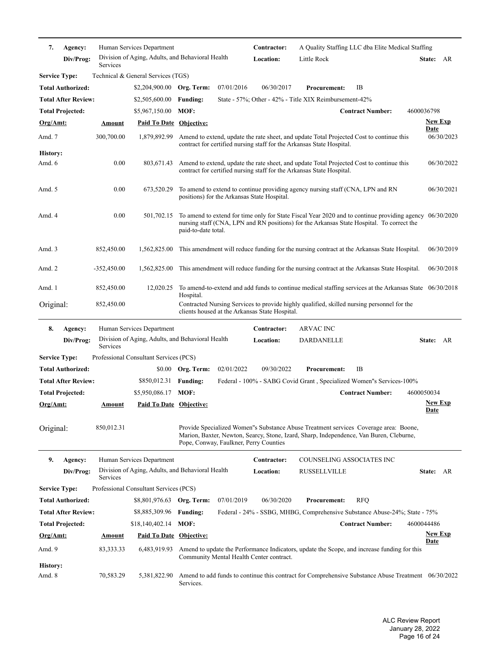| State: AR                                                                                                                                                                                            |
|------------------------------------------------------------------------------------------------------------------------------------------------------------------------------------------------------|
|                                                                                                                                                                                                      |
|                                                                                                                                                                                                      |
|                                                                                                                                                                                                      |
|                                                                                                                                                                                                      |
| <b>Contract Number:</b><br>4600036798                                                                                                                                                                |
| <b>New Exp</b><br><u>Date</u>                                                                                                                                                                        |
| Amend to extend, update the rate sheet, and update Total Projected Cost to continue this<br>06/30/2023                                                                                               |
| Amend to extend, update the rate sheet, and update Total Projected Cost to continue this<br>06/30/2022                                                                                               |
| To amend to extend to continue providing agency nursing staff (CNA, LPN and RN<br>06/30/2021                                                                                                         |
| To amend to extend for time only for State Fiscal Year 2020 and to continue providing agency 06/30/2020<br>nursing staff (CNA, LPN and RN positions) for the Arkansas State Hospital. To correct the |
| This amendment will reduce funding for the nursing contract at the Arkansas State Hospital.<br>06/30/2019                                                                                            |
| 06/30/2018<br>This amendment will reduce funding for the nursing contract at the Arkansas State Hospital.                                                                                            |
| To amend-to-extend and add funds to continue medical staffing services at the Arkansas State 06/30/2018                                                                                              |
| Contracted Nursing Services to provide highly qualified, skilled nursing personnel for the                                                                                                           |
|                                                                                                                                                                                                      |
| State: AR                                                                                                                                                                                            |
|                                                                                                                                                                                                      |
|                                                                                                                                                                                                      |
| Federal - 100% - SABG Covid Grant, Specialized Women''s Services-100%                                                                                                                                |
| <b>Contract Number:</b><br>4600050034<br><b>New Exp</b>                                                                                                                                              |
| <u>Date</u>                                                                                                                                                                                          |
| Provide Specialized Women''s Substance Abuse Treatment services Coverage area: Boone,<br>Marion, Baxter, Newton, Searcy, Stone, Izard, Sharp, Independence, Van Buren, Cleburne,                     |
| COUNSELING ASSOCIATES INC                                                                                                                                                                            |
| State: AR                                                                                                                                                                                            |
|                                                                                                                                                                                                      |
|                                                                                                                                                                                                      |
|                                                                                                                                                                                                      |
| Federal - 24% - SSBG, MHBG, Comprehensive Substance Abuse-24%; State - 75%                                                                                                                           |
| <b>Contract Number:</b><br>4600044486                                                                                                                                                                |
| <b>New Exp</b><br><u>Date</u>                                                                                                                                                                        |
| Amend to update the Performance Indicators, update the Scope, and increase funding for this                                                                                                          |
|                                                                                                                                                                                                      |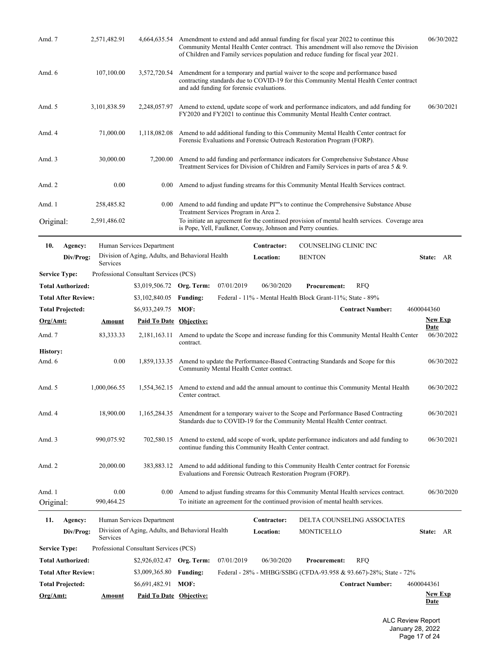| Amd. 7                    |                            | 2,571,482.91       | 4,664,635.54                           | Amendment to extend and add annual funding for fiscal year 2022 to continue this<br>Community Mental Health Center contract. This amendment will also remove the Division<br>of Children and Family services population and reduce funding for fiscal year 2021. | 06/30/2022                    |  |  |  |  |  |
|---------------------------|----------------------------|--------------------|----------------------------------------|------------------------------------------------------------------------------------------------------------------------------------------------------------------------------------------------------------------------------------------------------------------|-------------------------------|--|--|--|--|--|
| Amd. 6                    |                            | 107,100.00         | 3,572,720.54                           | Amendment for a temporary and partial waiver to the scope and performance based<br>contracting standards due to COVID-19 for this Community Mental Health Center contract<br>and add funding for forensic evaluations.                                           |                               |  |  |  |  |  |
| Amd. 5                    |                            | 3,101,838.59       | 2,248,057.97                           | Amend to extend, update scope of work and performance indicators, and add funding for<br>FY2020 and FY2021 to continue this Community Mental Health Center contract.                                                                                             | 06/30/2021                    |  |  |  |  |  |
| Amd. 4                    |                            | 71,000.00          | 1,118,082.08                           | Amend to add additional funding to this Community Mental Health Center contract for<br>Forensic Evaluations and Forensic Outreach Restoration Program (FORP).                                                                                                    |                               |  |  |  |  |  |
| Amd. 3                    |                            | 30,000.00          | 7,200.00                               | Amend to add funding and performance indicators for Comprehensive Substance Abuse<br>Treatment Services for Division of Children and Family Services in parts of area 5 & 9.                                                                                     |                               |  |  |  |  |  |
| Amd. 2                    |                            | 0.00               | 0.00                                   | Amend to adjust funding streams for this Community Mental Health Services contract.                                                                                                                                                                              |                               |  |  |  |  |  |
| Amd. 1                    |                            | 258,485.82         | $0.00\,$                               | Amend to add funding and update PI""s to continue the Comprehensive Substance Abuse<br>Treatment Services Program in Area 2.                                                                                                                                     |                               |  |  |  |  |  |
| Original:                 |                            | 2,591,486.02       |                                        | To initiate an agreement for the continued provision of mental health services. Coverage area<br>is Pope, Yell, Faulkner, Conway, Johnson and Perry counties.                                                                                                    |                               |  |  |  |  |  |
| 10.                       | Agency:                    |                    | Human Services Department              | Contractor:<br>COUNSELING CLINIC INC                                                                                                                                                                                                                             |                               |  |  |  |  |  |
|                           | Div/Prog:                  | Services           |                                        | Division of Aging, Adults, and Behavioral Health<br>Location:<br><b>BENTON</b>                                                                                                                                                                                   | State: AR                     |  |  |  |  |  |
| <b>Service Type:</b>      |                            |                    | Professional Consultant Services (PCS) |                                                                                                                                                                                                                                                                  |                               |  |  |  |  |  |
|                           | <b>Total Authorized:</b>   |                    | \$3,019,506.72 Org. Term:              | 07/01/2019<br>06/30/2020<br><b>Procurement:</b><br><b>RFQ</b>                                                                                                                                                                                                    |                               |  |  |  |  |  |
|                           | <b>Total After Review:</b> |                    | \$3,102,840.05                         | Federal - 11% - Mental Health Block Grant-11%; State - 89%<br><b>Funding:</b>                                                                                                                                                                                    |                               |  |  |  |  |  |
|                           | <b>Total Projected:</b>    |                    | \$6,933,249.75                         | <b>Contract Number:</b><br>MOF:                                                                                                                                                                                                                                  | 4600044360                    |  |  |  |  |  |
| Org/Amt:                  |                            | <b>Amount</b>      | <b>Paid To Date Objective:</b>         |                                                                                                                                                                                                                                                                  | <b>New Exp</b><br><b>Date</b> |  |  |  |  |  |
| Amd. 7                    |                            | 83, 333. 33        | 2,181,163.11                           | Amend to update the Scope and increase funding for this Community Mental Health Center<br>contract.                                                                                                                                                              | 06/30/2022                    |  |  |  |  |  |
| <b>History:</b><br>Amd. 6 |                            | 0.00               | 1,859,133.35                           | Amend to update the Performance-Based Contracting Standards and Scope for this<br>Community Mental Health Center contract.                                                                                                                                       | 06/30/2022                    |  |  |  |  |  |
| Amd. 5                    |                            | 1,000,066.55       | 1,554,362.15                           | Amend to extend and add the annual amount to continue this Community Mental Health<br>Center contract.                                                                                                                                                           | 06/30/2022                    |  |  |  |  |  |
| Amd. 4                    |                            | 18,900.00          | 1,165,284.35                           | Amendment for a temporary waiver to the Scope and Performance Based Contracting<br>Standards due to COVID-19 for the Community Mental Health Center contract.                                                                                                    | 06/30/2021                    |  |  |  |  |  |
| Amd. 3                    |                            | 990,075.92         | 702,580.15                             | Amend to extend, add scope of work, update performance indicators and add funding to<br>continue funding this Community Health Center contract.                                                                                                                  | 06/30/2021                    |  |  |  |  |  |
| Amd. 2                    |                            | 20,000.00          | 383,883.12                             | Amend to add additional funding to this Community Health Center contract for Forensic<br>Evaluations and Forensic Outreach Restoration Program (FORP).                                                                                                           |                               |  |  |  |  |  |
| Amd. 1<br>Original:       |                            | 0.00<br>990,464.25 | 0.00                                   | Amend to adjust funding streams for this Community Mental Health services contract.<br>To initiate an agreement for the continued provision of mental health services.                                                                                           | 06/30/2020                    |  |  |  |  |  |
| 11.                       | Agency:                    |                    | Human Services Department              | DELTA COUNSELING ASSOCIATES<br>Contractor:                                                                                                                                                                                                                       |                               |  |  |  |  |  |
|                           | Div/Prog:                  | Services           |                                        | Division of Aging, Adults, and Behavioral Health<br>Location:<br>MONTICELLO                                                                                                                                                                                      | State: AR                     |  |  |  |  |  |
| <b>Service Type:</b>      |                            |                    | Professional Consultant Services (PCS) |                                                                                                                                                                                                                                                                  |                               |  |  |  |  |  |
|                           | <b>Total Authorized:</b>   |                    | \$2,926,032.47 Org. Term:              | 07/01/2019<br>06/30/2020<br><b>Procurement:</b><br><b>RFQ</b>                                                                                                                                                                                                    |                               |  |  |  |  |  |
|                           | <b>Total After Review:</b> |                    | \$3,009,365.80                         | Federal - 28% - MHBG/SSBG (CFDA-93.958 & 93.667)-28%; State - 72%<br><b>Funding:</b>                                                                                                                                                                             |                               |  |  |  |  |  |
|                           | <b>Total Projected:</b>    |                    | \$6,691,482.91                         | MOF:<br><b>Contract Number:</b>                                                                                                                                                                                                                                  | 4600044361                    |  |  |  |  |  |
| Org/Amt:                  |                            | <b>Amount</b>      | Paid To Date Objective:                |                                                                                                                                                                                                                                                                  | <b>New Exp</b><br><b>Date</b> |  |  |  |  |  |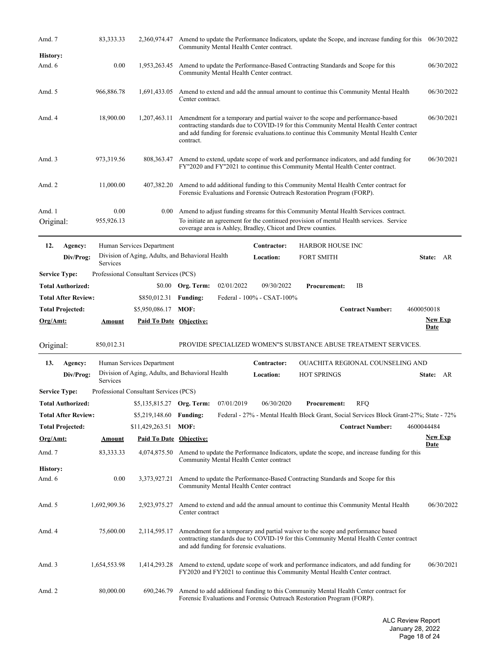| Amd. 7                      | 83, 333. 33        | 2,360,974.47                           | Amend to update the Performance Indicators, update the Scope, and increase funding for this<br>Community Mental Health Center contract.                                                                                                                                            | 06/30/2022                    |
|-----------------------------|--------------------|----------------------------------------|------------------------------------------------------------------------------------------------------------------------------------------------------------------------------------------------------------------------------------------------------------------------------------|-------------------------------|
| <b>History:</b>             |                    |                                        |                                                                                                                                                                                                                                                                                    |                               |
| Amd. 6                      | 0.00               | 1,953,263.45                           | Amend to update the Performance-Based Contracting Standards and Scope for this<br>Community Mental Health Center contract.                                                                                                                                                         | 06/30/2022                    |
| Amd. 5                      | 966,886.78         | 1,691,433.05                           | Amend to extend and add the annual amount to continue this Community Mental Health<br>Center contract.                                                                                                                                                                             | 06/30/2022                    |
| Amd. 4                      | 18,900.00          | 1,207,463.11                           | Amendment for a temporary and partial waiver to the scope and performance-based<br>contracting standards due to COVID-19 for this Community Mental Health Center contract<br>and add funding for forensic evaluations to continue this Community Mental Health Center<br>contract. | 06/30/2021                    |
| Amd. 3                      | 973,319.56         | 808, 363. 47                           | Amend to extend, update scope of work and performance indicators, and add funding for<br>FY"2020 and FY"2021 to continue this Community Mental Health Center contract.                                                                                                             | 06/30/2021                    |
| Amd. 2                      | 11,000.00          | 407,382.20                             | Amend to add additional funding to this Community Mental Health Center contract for<br>Forensic Evaluations and Forensic Outreach Restoration Program (FORP).                                                                                                                      |                               |
| Amd. 1<br>Original:         | 0.00<br>955,926.13 | 0.00                                   | Amend to adjust funding streams for this Community Mental Health Services contract.<br>To initiate an agreement for the continued provision of mental Health services. Service<br>coverage area is Ashley, Bradley, Chicot and Drew counties.                                      |                               |
| 12.<br>Agency:              |                    | Human Services Department              | Contractor:<br><b>HARBOR HOUSE INC</b>                                                                                                                                                                                                                                             |                               |
| Div/Prog:                   | Services           |                                        | Division of Aging, Adults, and Behavioral Health<br>Location:<br><b>FORT SMITH</b>                                                                                                                                                                                                 | State: AR                     |
| <b>Service Type:</b>        |                    | Professional Consultant Services (PCS) |                                                                                                                                                                                                                                                                                    |                               |
| <b>Total Authorized:</b>    |                    | \$0.00                                 | Org. Term:<br>02/01/2022<br>09/30/2022<br>IB<br><b>Procurement:</b>                                                                                                                                                                                                                |                               |
| <b>Total After Review:</b>  |                    | \$850,012.31                           | Federal - 100% - CSAT-100%<br><b>Funding:</b>                                                                                                                                                                                                                                      |                               |
| <b>Total Projected:</b>     |                    | \$5,950,086.17                         | <b>Contract Number:</b><br>MOF:<br>4600050018                                                                                                                                                                                                                                      |                               |
|                             |                    |                                        |                                                                                                                                                                                                                                                                                    |                               |
| Org/Amt:                    | <u>Amount</u>      | <b>Paid To Date Objective:</b>         |                                                                                                                                                                                                                                                                                    | <b>New Exp</b><br><b>Date</b> |
| Original:                   | 850,012.31         |                                        | PROVIDE SPECIALIZED WOMEN"S SUBSTANCE ABUSE TREATMENT SERVICES.                                                                                                                                                                                                                    |                               |
| 13.<br>Agency:<br>Div/Prog: |                    | Human Services Department              | <b>OUACHITA REGIONAL COUNSELING AND</b><br>Contractor:<br>Division of Aging, Adults, and Behavioral Health<br>Location:<br><b>HOT SPRINGS</b>                                                                                                                                      | State: AR                     |
|                             | Services           |                                        |                                                                                                                                                                                                                                                                                    |                               |
| <b>Service Type:</b>        |                    | Professional Consultant Services (PCS) |                                                                                                                                                                                                                                                                                    |                               |
| <b>Total Authorized:</b>    |                    | \$5,135,815.27                         | 07/01/2019<br>06/30/2020<br>Org. Term:<br><b>Procurement:</b><br><b>RFQ</b>                                                                                                                                                                                                        |                               |
| <b>Total After Review:</b>  |                    | \$5,219,148.60                         | Federal - 27% - Mental Health Block Grant, Social Services Block Grant-27%; State - 72%<br><b>Funding:</b>                                                                                                                                                                         |                               |
| <b>Total Projected:</b>     |                    | \$11,429,263.51                        | MOF:<br><b>Contract Number:</b><br>4600044484                                                                                                                                                                                                                                      | <b>New Exp</b>                |
| $Org/Amt$ :                 | <b>Amount</b>      | <b>Paid To Date Objective:</b>         |                                                                                                                                                                                                                                                                                    | <b>Date</b>                   |
| Amd. 7                      | 83, 333. 33        | 4,074,875.50                           | Amend to update the Performance Indicators, update the scope, and increase funding for this<br>Community Mental Health Center contract                                                                                                                                             |                               |
| <b>History:</b>             |                    |                                        |                                                                                                                                                                                                                                                                                    |                               |
| Amd. 6                      | 0.00               | 3,373,927.21                           | Amend to update the Performance-Based Contracting Standards and Scope for this<br>Community Mental Health Center contract                                                                                                                                                          |                               |
| Amd. 5                      | 1,692,909.36       | 2,923,975.27                           | Amend to extend and add the annual amount to continue this Community Mental Health<br>Center contract                                                                                                                                                                              | 06/30/2022                    |
| Amd. 4                      | 75,600.00          | 2,114,595.17                           | Amendment for a temporary and partial waiver to the scope and performance based<br>contracting standards due to COVID-19 for this Community Mental Health Center contract<br>and add funding for forensic evaluations.                                                             |                               |
| Amd. 3                      | 1,654,553.98       | 1,414,293.28                           | Amend to extend, update scope of work and performance indicators, and add funding for<br>FY2020 and FY2021 to continue this Community Mental Health Center contract.                                                                                                               | 06/30/2021                    |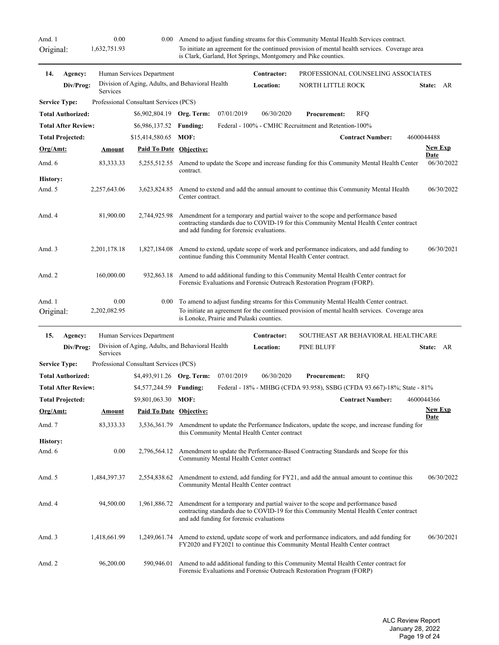Original:

Amd. 1 0.00 0.00 0.00 Amend to adjust funding streams for this Community Mental Health Services contract. 1,632,751.93 To initiate an agreement for the continued provision of mental health services. Coverage area is Clark, Garland, Hot Springs, Montgomery and Pike counties.

| 14.                  | Agency:                    |              | Human Services Department                        |                  |                                           | Contractor:      | PROFESSIONAL COUNSELING ASSOCIATES                                                                                                                                        |                         |             |                |
|----------------------|----------------------------|--------------|--------------------------------------------------|------------------|-------------------------------------------|------------------|---------------------------------------------------------------------------------------------------------------------------------------------------------------------------|-------------------------|-------------|----------------|
|                      | Div/Prog:                  | Services     | Division of Aging, Adults, and Behavioral Health |                  |                                           | <b>Location:</b> | <b>NORTH LITTLE ROCK</b>                                                                                                                                                  |                         |             | State: AR      |
| <b>Service Type:</b> |                            |              | Professional Consultant Services (PCS)           |                  |                                           |                  |                                                                                                                                                                           |                         |             |                |
|                      | <b>Total Authorized:</b>   |              | \$6,902,804.19 Org. Term:                        |                  | 07/01/2019                                | 06/30/2020       | Procurement:                                                                                                                                                              | <b>RFQ</b>              |             |                |
|                      | <b>Total After Review:</b> |              | \$6,986,137.52                                   | <b>Funding:</b>  |                                           |                  | Federal - 100% - CMHC Recruitment and Retention-100%                                                                                                                      |                         |             |                |
|                      | <b>Total Projected:</b>    |              | \$15,414,580.65                                  | MOF:             |                                           |                  |                                                                                                                                                                           | <b>Contract Number:</b> | 4600044488  |                |
| Org/Amt:             |                            | Amount       | <b>Paid To Date Objective:</b>                   |                  |                                           |                  |                                                                                                                                                                           |                         | Date        | <b>New Exp</b> |
| Amd. 6               |                            | 83, 333. 33  | 5,255,512.55                                     | contract.        |                                           |                  | Amend to update the Scope and increase funding for this Community Mental Health Center                                                                                    |                         |             | 06/30/2022     |
| <b>History:</b>      |                            |              |                                                  |                  |                                           |                  |                                                                                                                                                                           |                         |             |                |
| Amd. 5               |                            | 2,257,643.06 | 3,623,824.85                                     | Center contract. |                                           |                  | Amend to extend and add the annual amount to continue this Community Mental Health                                                                                        |                         |             | 06/30/2022     |
| Amd. 4               |                            | 81,900.00    | 2,744,925.98                                     |                  | and add funding for forensic evaluations. |                  | Amendment for a temporary and partial waiver to the scope and performance based<br>contracting standards due to COVID-19 for this Community Mental Health Center contract |                         |             |                |
| Amd. $3$             |                            | 2,201,178.18 | 1,827,184.08                                     |                  |                                           |                  | Amend to extend, update scope of work and performance indicators, and add funding to<br>continue funding this Community Mental Health Center contract.                    |                         |             | 06/30/2021     |
| Amd. 2               |                            | 160,000.00   | 932,863.18                                       |                  |                                           |                  | Amend to add additional funding to this Community Mental Health Center contract for<br>Forensic Evaluations and Forensic Outreach Restoration Program (FORP).             |                         |             |                |
| Amd. 1               |                            | 0.00         | 0.00                                             |                  |                                           |                  | To amend to adjust funding streams for this Community Mental Health Center contract.                                                                                      |                         |             |                |
| Original:            |                            | 2,202,082.95 |                                                  |                  | is Lonoke, Prairie and Pulaski counties.  |                  | To initiate an agreement for the continued provision of mental health services. Coverage area                                                                             |                         |             |                |
| 15.                  | Agency:                    |              | Human Services Department                        |                  |                                           | Contractor:      | SOUTHEAST AR BEHAVIORAL HEALTHCARE                                                                                                                                        |                         |             |                |
|                      | Div/Prog:                  | Services     | Division of Aging, Adults, and Behavioral Health |                  |                                           | Location:        | <b>PINE BLUFF</b>                                                                                                                                                         |                         |             | State: AR      |
| <b>Service Type:</b> |                            |              | Professional Consultant Services (PCS)           |                  |                                           |                  |                                                                                                                                                                           |                         |             |                |
|                      | <b>Total Authorized:</b>   |              | \$4,493,911.26 Org. Term:                        |                  | 07/01/2019                                | 06/30/2020       | <b>Procurement:</b>                                                                                                                                                       | <b>RFQ</b>              |             |                |
|                      | <b>Total After Review:</b> |              | \$4,577,244.59                                   | <b>Funding:</b>  |                                           |                  | Federal - 18% - MHBG (CFDA 93.958), SSBG (CFDA 93.667)-18%; State - 81%                                                                                                   |                         |             |                |
|                      | <b>Total Projected:</b>    |              | \$9,801,063.30                                   | MOF:             |                                           |                  |                                                                                                                                                                           | <b>Contract Number:</b> | 4600044366  |                |
| Org/Amt:             |                            | Amount       | <b>Paid To Date Objective:</b>                   |                  |                                           |                  |                                                                                                                                                                           |                         |             | <b>New Exp</b> |
| $\Lambda$ md $\tau$  |                            | Q2 222 22    |                                                  |                  |                                           |                  | 3.536.361.70 Amondment to undete the Derformance Indicators, undete the scope and increase funding for                                                                    |                         | <u>Date</u> |                |

| $Org/Amt$ :     | Amount       | <b>Paid To Date Objective:</b> |                                                                                                                                                                                                                       | <b>New Exp</b><br>Date |
|-----------------|--------------|--------------------------------|-----------------------------------------------------------------------------------------------------------------------------------------------------------------------------------------------------------------------|------------------------|
| Amd. 7          | 83, 333. 33  | 3.536.361.79                   | Amendment to update the Performance Indicators, update the scope, and increase funding for<br>this Community Mental Health Center contract                                                                            |                        |
| <b>History:</b> |              |                                |                                                                                                                                                                                                                       |                        |
| Amd. $6$        | 0.00         | 2.796.564.12                   | Amendment to update the Performance-Based Contracting Standards and Scope for this<br>Community Mental Health Center contract                                                                                         |                        |
| Amd. $5$        | 1,484,397.37 | 2.554.838.62                   | Amendment to extend, add funding for FY21, and add the annual amount to continue this<br>Community Mental Health Center contract                                                                                      | 06/30/2022             |
| Amd. 4          | 94,500.00    | 1,961,886.72                   | Amendment for a temporary and partial waiver to the scope and performance based<br>contracting standards due to COVID-19 for this Community Mental Health Center contract<br>and add funding for forensic evaluations |                        |
| Amd. $3$        | 1,418,661.99 |                                | 1,249,061.74 Amend to extend, update scope of work and performance indicators, and add funding for<br>FY2020 and FY2021 to continue this Community Mental Health Center contract                                      | 06/30/2021             |
| Amd. $2$        | 96,200.00    | 590,946.01                     | Amend to add additional funding to this Community Mental Health Center contract for<br>Forensic Evaluations and Forensic Outreach Restoration Program (FORP)                                                          |                        |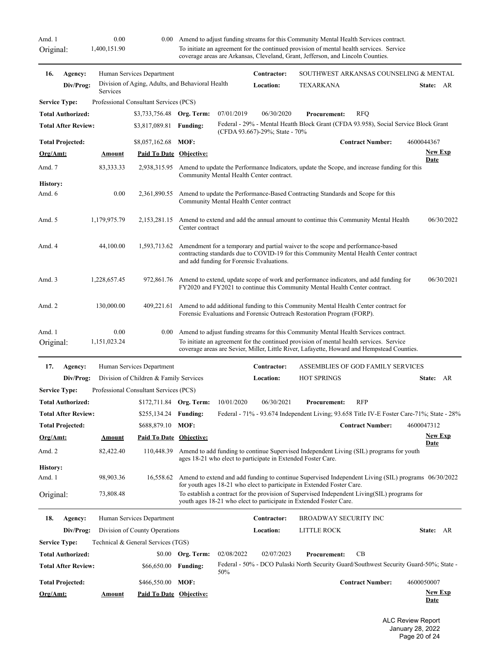Original:

Amd. 1 0.00 0.00 0.00 Amend to adjust funding streams for this Community Mental Health Services contract. 1,400,151.90 To initiate an agreement for the continued provision of mental health services. Service coverage areas are Arkansas, Cleveland, Grant, Jefferson, and Lincoln Counties.

| 16.                  | Agency:                    |                      | Human Services Department                        |                   |                                                              | Contractor: |                                                                                                                                                                                                                                                                                   | SOUTHWEST ARKANSAS COUNSELING & MENTAL |                        |            |
|----------------------|----------------------------|----------------------|--------------------------------------------------|-------------------|--------------------------------------------------------------|-------------|-----------------------------------------------------------------------------------------------------------------------------------------------------------------------------------------------------------------------------------------------------------------------------------|----------------------------------------|------------------------|------------|
|                      | Div/Prog:                  | Services             | Division of Aging, Adults, and Behavioral Health |                   |                                                              | Location:   | TEXARKANA                                                                                                                                                                                                                                                                         |                                        | State: AR              |            |
| <b>Service Type:</b> |                            |                      | Professional Consultant Services (PCS)           |                   |                                                              |             |                                                                                                                                                                                                                                                                                   |                                        |                        |            |
|                      | <b>Total Authorized:</b>   |                      | \$3,733,756.48 Org. Term:                        |                   | 07/01/2019                                                   | 06/30/2020  | <b>Procurement:</b>                                                                                                                                                                                                                                                               | <b>RFQ</b>                             |                        |            |
|                      | <b>Total After Review:</b> |                      | \$3,817,089.81                                   | <b>Funding:</b>   | (CFDA 93.667)-29%; State - 70%                               |             | Federal - 29% - Mental Heatth Block Grant (CFDA 93.958), Social Service Block Grant                                                                                                                                                                                               |                                        |                        |            |
|                      | <b>Total Projected:</b>    |                      | \$8,057,162.68                                   | MOF:              |                                                              |             |                                                                                                                                                                                                                                                                                   | <b>Contract Number:</b>                | 4600044367             |            |
| $Org/Amt$ :          |                            | <b>Amount</b>        | Paid To Date Objective:                          |                   |                                                              |             |                                                                                                                                                                                                                                                                                   |                                        | <b>New Exp</b><br>Date |            |
| Amd. 7               |                            | 83, 333. 33          | 2,938,315.95                                     |                   | Community Mental Health Center contract.                     |             | Amend to update the Performance Indicators, update the Scope, and increase funding for this                                                                                                                                                                                       |                                        |                        |            |
| <b>History:</b>      |                            |                      |                                                  |                   |                                                              |             |                                                                                                                                                                                                                                                                                   |                                        |                        |            |
| Amd. 6               |                            | 0.00                 | 2,361,890.55                                     |                   | Community Mental Health Center contract                      |             | Amend to update the Performance-Based Contracting Standards and Scope for this                                                                                                                                                                                                    |                                        |                        |            |
| Amd. 5               |                            | 1,179,975.79         | 2,153,281.15                                     | Center contract   |                                                              |             | Amend to extend and add the annual amount to continue this Community Mental Health                                                                                                                                                                                                |                                        |                        | 06/30/2022 |
| Amd. 4               |                            | 44,100.00            | 1,593,713.62                                     |                   | and add funding for Forensic Evaluations.                    |             | Amendment for a temporary and partial waiver to the scope and performance-based<br>contracting standards due to COVID-19 for this Community Mental Health Center contract                                                                                                         |                                        |                        |            |
| Amd. 3               |                            | 1,228,657.45         | 972,861.76                                       |                   |                                                              |             | Amend to extend, update scope of work and performance indicators, and add funding for<br>FY2020 and FY2021 to continue this Community Mental Health Center contract.                                                                                                              |                                        |                        | 06/30/2021 |
| Amd. 2               |                            | 130,000.00           | 409,221.61                                       |                   |                                                              |             | Amend to add additional funding to this Community Mental Health Center contract for<br>Forensic Evaluations and Forensic Outreach Restoration Program (FORP).                                                                                                                     |                                        |                        |            |
| Amd. 1<br>Original:  |                            | 0.00<br>1,151,023.24 |                                                  |                   |                                                              |             | 0.00 Amend to adjust funding streams for this Community Mental Health Services contract.<br>To initiate an agreement for the continued provision of mental health services. Service<br>coverage areas are Sevier, Miller, Little River, Lafayette, Howard and Hempstead Counties. |                                        |                        |            |
| 17.                  | Agency:                    |                      | Human Services Department                        |                   |                                                              | Contractor: |                                                                                                                                                                                                                                                                                   | ASSEMBLIES OF GOD FAMILY SERVICES      |                        |            |
|                      | Div/Prog:                  |                      |                                                  |                   |                                                              |             |                                                                                                                                                                                                                                                                                   |                                        |                        |            |
|                      |                            |                      | Division of Children & Family Services           |                   |                                                              | Location:   | <b>HOT SPRINGS</b>                                                                                                                                                                                                                                                                |                                        | State: AR              |            |
| <b>Service Type:</b> |                            |                      | Professional Consultant Services (PCS)           |                   |                                                              |             |                                                                                                                                                                                                                                                                                   |                                        |                        |            |
|                      | <b>Total Authorized:</b>   |                      | \$172,711.84 Org. Term:                          |                   | 10/01/2020                                                   | 06/30/2021  | <b>Procurement:</b>                                                                                                                                                                                                                                                               | <b>RFP</b>                             |                        |            |
|                      | <b>Total After Review:</b> |                      | \$255,134.24                                     | <b>Funding:</b>   |                                                              |             | Federal - 71% - 93.674 Independent Living; 93.658 Title IV-E Foster Care-71%; State - 28%                                                                                                                                                                                         |                                        |                        |            |
|                      | <b>Total Projected:</b>    |                      | \$688,879.10 MOF:                                |                   |                                                              |             |                                                                                                                                                                                                                                                                                   | <b>Contract Number:</b>                | 4600047312             |            |
| Org/Amt:             |                            | <u>Amount</u>        | Paid To Date Objective:                          |                   |                                                              |             |                                                                                                                                                                                                                                                                                   |                                        | <b>New Exp</b>         |            |
| Amd. 2               |                            | 82,422.40            | 110,448.39                                       |                   | ages 18-21 who elect to participate in Extended Foster Care. |             | Amend to add funding to continue Supervised Independent Living (SIL) programs for youth                                                                                                                                                                                           |                                        | Date                   |            |
| History:             |                            |                      |                                                  |                   |                                                              |             |                                                                                                                                                                                                                                                                                   |                                        |                        |            |
| Amd. 1               |                            | 98,903.36            |                                                  |                   |                                                              |             | 16,558.62 Amend to extend and add funding to continue Supervised Independent Living (SIL) programs 06/30/2022<br>for youth ages 18-21 who elect to participate in Extended Foster Care.                                                                                           |                                        |                        |            |
| Original:            |                            | 73,808.48            |                                                  |                   |                                                              |             | To establish a contract for the provision of Supervised Independent Living(SIL) programs for<br>youth ages 18-21 who elect to participate in Extended Foster Care.                                                                                                                |                                        |                        |            |
| 18.                  | Agency:                    |                      | Human Services Department                        |                   |                                                              | Contractor: | <b>BROADWAY SECURITY INC</b>                                                                                                                                                                                                                                                      |                                        |                        |            |
|                      | Div/Prog:                  |                      | Division of County Operations                    |                   |                                                              | Location:   | LITTLE ROCK                                                                                                                                                                                                                                                                       |                                        | State: AR              |            |
| <b>Service Type:</b> |                            |                      | Technical & General Services (TGS)               |                   |                                                              |             |                                                                                                                                                                                                                                                                                   |                                        |                        |            |
|                      | <b>Total Authorized:</b>   |                      |                                                  | \$0.00 Org. Term: | 02/08/2022                                                   | 02/07/2023  | <b>Procurement:</b>                                                                                                                                                                                                                                                               | CB                                     |                        |            |
|                      | <b>Total After Review:</b> |                      | \$66,650.00                                      | <b>Funding:</b>   | 50%                                                          |             | Federal - 50% - DCO Pulaski North Security Guard/Southwest Security Guard-50%; State -                                                                                                                                                                                            |                                        |                        |            |
|                      | <b>Total Projected:</b>    |                      | \$466,550.00                                     | MOF:              |                                                              |             |                                                                                                                                                                                                                                                                                   | <b>Contract Number:</b>                | 4600050007             |            |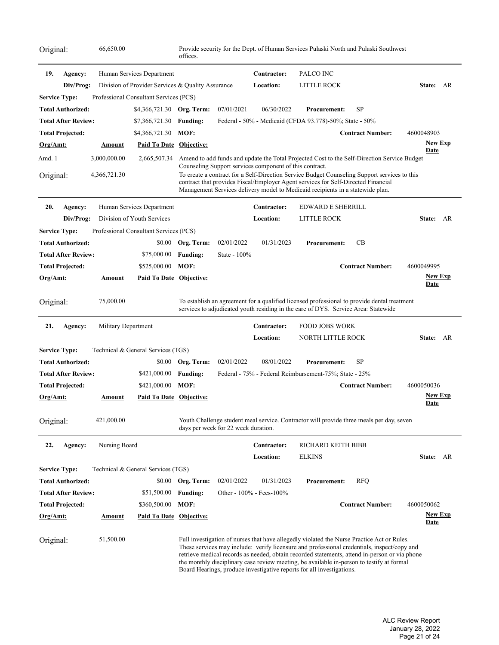| Original:       |                            | 66,650.00           |                                                   | offices.          |                                                         |                  | Provide security for the Dept. of Human Services Pulaski North and Pulaski Southwest                                                                                                                                                                                                                                                                                                                                                                             |                         |                               |
|-----------------|----------------------------|---------------------|---------------------------------------------------|-------------------|---------------------------------------------------------|------------------|------------------------------------------------------------------------------------------------------------------------------------------------------------------------------------------------------------------------------------------------------------------------------------------------------------------------------------------------------------------------------------------------------------------------------------------------------------------|-------------------------|-------------------------------|
| 19.             | Agency:                    |                     | Human Services Department                         |                   |                                                         | Contractor:      | PALCO INC                                                                                                                                                                                                                                                                                                                                                                                                                                                        |                         |                               |
|                 | Div/Prog:                  |                     | Division of Provider Services & Quality Assurance |                   |                                                         | <b>Location:</b> | LITTLE ROCK                                                                                                                                                                                                                                                                                                                                                                                                                                                      |                         | State: AR                     |
|                 | <b>Service Type:</b>       |                     | Professional Consultant Services (PCS)            |                   |                                                         |                  |                                                                                                                                                                                                                                                                                                                                                                                                                                                                  |                         |                               |
|                 | <b>Total Authorized:</b>   |                     | \$4,366,721.30 Org. Term:                         |                   | 07/01/2021                                              | 06/30/2022       | <b>Procurement:</b>                                                                                                                                                                                                                                                                                                                                                                                                                                              | SP                      |                               |
|                 | Total After Review:        |                     | \$7,366,721.30                                    | <b>Funding:</b>   |                                                         |                  | Federal - 50% - Medicaid (CFDA 93.778)-50%; State - 50%                                                                                                                                                                                                                                                                                                                                                                                                          |                         |                               |
|                 | <b>Total Projected:</b>    |                     | \$4,366,721.30                                    | MOF:              |                                                         |                  |                                                                                                                                                                                                                                                                                                                                                                                                                                                                  | <b>Contract Number:</b> | 4600048903                    |
| Org/Amt:        |                            | <u>Amount</u>       | Paid To Date Objective:                           |                   |                                                         |                  |                                                                                                                                                                                                                                                                                                                                                                                                                                                                  |                         | <b>New Exp</b>                |
| Amd. 1          |                            | 3,000,000.00        | 2,665,507.34                                      |                   |                                                         |                  | Amend to add funds and update the Total Projected Cost to the Self-Direction Service Budget                                                                                                                                                                                                                                                                                                                                                                      |                         | <b>Date</b>                   |
| Original:       |                            | 4,366,721.30        |                                                   |                   | Counseling Support services component of this contract. |                  | To create a contract for a Self-Direction Service Budget Counseling Support services to this<br>contract that provides Fiscal/Employer Agent services for Self-Directed Financial<br>Management Services delivery model to Medicaid recipients in a statewide plan.                                                                                                                                                                                              |                         |                               |
| 20.             | Agency:                    |                     | Human Services Department                         |                   |                                                         | Contractor:      | <b>EDWARD E SHERRILL</b>                                                                                                                                                                                                                                                                                                                                                                                                                                         |                         |                               |
|                 | Div/Prog:                  |                     | Division of Youth Services                        |                   |                                                         | Location:        | LITTLE ROCK                                                                                                                                                                                                                                                                                                                                                                                                                                                      |                         | State:<br>AR                  |
|                 | <b>Service Type:</b>       |                     | Professional Consultant Services (PCS)            |                   |                                                         |                  |                                                                                                                                                                                                                                                                                                                                                                                                                                                                  |                         |                               |
|                 | <b>Total Authorized:</b>   |                     |                                                   | \$0.00 Org. Term: | 02/01/2022                                              | 01/31/2023       | <b>Procurement:</b>                                                                                                                                                                                                                                                                                                                                                                                                                                              | CB                      |                               |
|                 | <b>Total After Review:</b> |                     | \$75,000.00                                       | <b>Funding:</b>   | State - 100%                                            |                  |                                                                                                                                                                                                                                                                                                                                                                                                                                                                  |                         |                               |
|                 | <b>Total Projected:</b>    |                     | \$525,000.00                                      | MOF:              |                                                         |                  |                                                                                                                                                                                                                                                                                                                                                                                                                                                                  | <b>Contract Number:</b> | 4600049995                    |
| Org/Amt:        |                            | <b>Amount</b>       | Paid To Date Objective:                           |                   |                                                         |                  |                                                                                                                                                                                                                                                                                                                                                                                                                                                                  |                         | <u>New Exp</u><br><b>Date</b> |
| Original:       |                            | 75,000.00           |                                                   |                   |                                                         |                  | To establish an agreement for a qualified licensed professional to provide dental treatment<br>services to adjudicated youth residing in the care of DYS. Service Area: Statewide                                                                                                                                                                                                                                                                                |                         |                               |
| 21.             | Agency:                    | Military Department |                                                   |                   |                                                         | Contractor:      | <b>FOOD JOBS WORK</b>                                                                                                                                                                                                                                                                                                                                                                                                                                            |                         |                               |
|                 |                            |                     |                                                   |                   |                                                         | Location:        | NORTH LITTLE ROCK                                                                                                                                                                                                                                                                                                                                                                                                                                                |                         | State: AR                     |
|                 | <b>Service Type:</b>       |                     | Technical & General Services (TGS)                |                   |                                                         |                  |                                                                                                                                                                                                                                                                                                                                                                                                                                                                  |                         |                               |
|                 | <b>Total Authorized:</b>   |                     |                                                   | \$0.00 Org. Term: | 02/01/2022                                              | 08/01/2022       | <b>Procurement:</b>                                                                                                                                                                                                                                                                                                                                                                                                                                              | <b>SP</b>               |                               |
|                 | <b>Total After Review:</b> |                     | \$421,000.00                                      | <b>Funding:</b>   |                                                         |                  | Federal - 75% - Federal Reimbursement-75%; State - 25%                                                                                                                                                                                                                                                                                                                                                                                                           |                         |                               |
|                 | <b>Total Projected:</b>    |                     | \$421,000.00                                      | MOF:              |                                                         |                  |                                                                                                                                                                                                                                                                                                                                                                                                                                                                  | <b>Contract Number:</b> | 4600050036                    |
| Org/Amt:        |                            | Amount              | <b>Paid To Date Objective:</b>                    |                   |                                                         |                  |                                                                                                                                                                                                                                                                                                                                                                                                                                                                  |                         | <b>New Exp</b><br><u>Date</u> |
| Original:       |                            | 421,000.00          |                                                   |                   | days per week for 22 week duration.                     |                  | Youth Challenge student meal service. Contractor will provide three meals per day, seven                                                                                                                                                                                                                                                                                                                                                                         |                         |                               |
| 22.             | Agency:                    | Nursing Board       |                                                   |                   |                                                         | Contractor:      | RICHARD KEITH BIBB                                                                                                                                                                                                                                                                                                                                                                                                                                               |                         |                               |
|                 |                            |                     |                                                   |                   |                                                         | <b>Location:</b> | <b>ELKINS</b>                                                                                                                                                                                                                                                                                                                                                                                                                                                    |                         | State: AR                     |
|                 | <b>Service Type:</b>       |                     | Technical & General Services (TGS)                |                   |                                                         |                  |                                                                                                                                                                                                                                                                                                                                                                                                                                                                  |                         |                               |
|                 | <b>Total Authorized:</b>   |                     |                                                   | \$0.00 Org. Term: | 02/01/2022                                              | 01/31/2023       | <b>Procurement:</b>                                                                                                                                                                                                                                                                                                                                                                                                                                              | <b>RFQ</b>              |                               |
|                 | Total After Review:        |                     | \$51,500.00                                       | <b>Funding:</b>   | Other - 100% - Fees-100%                                |                  |                                                                                                                                                                                                                                                                                                                                                                                                                                                                  |                         |                               |
|                 | Total Projected:           |                     | \$360,500.00                                      | MOF:              |                                                         |                  |                                                                                                                                                                                                                                                                                                                                                                                                                                                                  | <b>Contract Number:</b> | 4600050062                    |
| <u>Org/Amt:</u> |                            | <u>Amount</u>       | <b>Paid To Date Objective:</b>                    |                   |                                                         |                  |                                                                                                                                                                                                                                                                                                                                                                                                                                                                  |                         | <u>New Exp</u><br><u>Date</u> |
| Original:       |                            | 51,500.00           |                                                   |                   |                                                         |                  | Full investigation of nurses that have allegedly violated the Nurse Practice Act or Rules.<br>These services may include: verify licensure and professional credentials, inspect/copy and<br>retrieve medical records as needed, obtain recorded statements, attend in-person or via phone<br>the monthly disciplinary case review meeting, be available in-person to testify at formal<br>Board Hearings, produce investigative reports for all investigations. |                         |                               |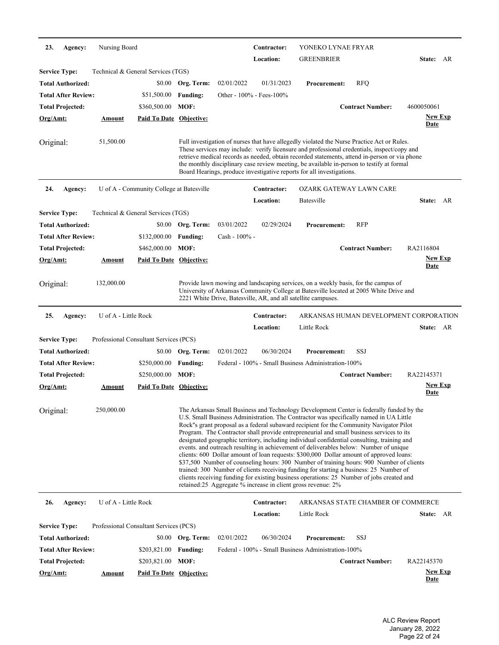| 23.                  | Agency:                    | Nursing Board                          |                                          |                   |               | Contractor:<br>Location: | YONEKO LYNAE FRYAR<br><b>GREENBRIER</b>                                                                                                                                                                                                                                                                                                                                                                                                                                                                                                                                                                                                                                                                                                                                                                                                                                                                                                                                                                         |                                        | State: AR                     |  |
|----------------------|----------------------------|----------------------------------------|------------------------------------------|-------------------|---------------|--------------------------|-----------------------------------------------------------------------------------------------------------------------------------------------------------------------------------------------------------------------------------------------------------------------------------------------------------------------------------------------------------------------------------------------------------------------------------------------------------------------------------------------------------------------------------------------------------------------------------------------------------------------------------------------------------------------------------------------------------------------------------------------------------------------------------------------------------------------------------------------------------------------------------------------------------------------------------------------------------------------------------------------------------------|----------------------------------------|-------------------------------|--|
| <b>Service Type:</b> |                            | Technical & General Services (TGS)     |                                          |                   |               |                          |                                                                                                                                                                                                                                                                                                                                                                                                                                                                                                                                                                                                                                                                                                                                                                                                                                                                                                                                                                                                                 |                                        |                               |  |
|                      | <b>Total Authorized:</b>   |                                        | \$0.00                                   | Org. Term:        | 02/01/2022    | 01/31/2023               | <b>Procurement:</b>                                                                                                                                                                                                                                                                                                                                                                                                                                                                                                                                                                                                                                                                                                                                                                                                                                                                                                                                                                                             | <b>RFQ</b>                             |                               |  |
|                      | <b>Total After Review:</b> |                                        | \$51,500.00                              | <b>Funding:</b>   |               | Other - 100% - Fees-100% |                                                                                                                                                                                                                                                                                                                                                                                                                                                                                                                                                                                                                                                                                                                                                                                                                                                                                                                                                                                                                 |                                        |                               |  |
|                      | <b>Total Projected:</b>    |                                        | \$360,500.00                             | MOF:              |               |                          |                                                                                                                                                                                                                                                                                                                                                                                                                                                                                                                                                                                                                                                                                                                                                                                                                                                                                                                                                                                                                 | <b>Contract Number:</b>                | 4600050061                    |  |
| Org/Amt:             |                            | Amount                                 | <b>Paid To Date Objective:</b>           |                   |               |                          |                                                                                                                                                                                                                                                                                                                                                                                                                                                                                                                                                                                                                                                                                                                                                                                                                                                                                                                                                                                                                 |                                        | <b>New Exp</b>                |  |
|                      |                            |                                        |                                          |                   |               |                          |                                                                                                                                                                                                                                                                                                                                                                                                                                                                                                                                                                                                                                                                                                                                                                                                                                                                                                                                                                                                                 |                                        | <b>Date</b>                   |  |
| Original:            |                            | 51,500.00                              |                                          |                   |               |                          | Full investigation of nurses that have allegedly violated the Nurse Practice Act or Rules.<br>These services may include: verify licensure and professional credentials, inspect/copy and<br>retrieve medical records as needed, obtain recorded statements, attend in-person or via phone<br>the monthly disciplinary case review meeting, be available in-person to testify at formal<br>Board Hearings, produce investigative reports for all investigations.                                                                                                                                                                                                                                                                                                                                                                                                                                                                                                                                                |                                        |                               |  |
| 24.                  | Agency:                    |                                        | U of A - Community College at Batesville |                   |               | Contractor:              | <b>OZARK GATEWAY LAWN CARE</b>                                                                                                                                                                                                                                                                                                                                                                                                                                                                                                                                                                                                                                                                                                                                                                                                                                                                                                                                                                                  |                                        |                               |  |
|                      |                            |                                        |                                          |                   |               | Location:                | Batesville                                                                                                                                                                                                                                                                                                                                                                                                                                                                                                                                                                                                                                                                                                                                                                                                                                                                                                                                                                                                      |                                        | State: AR                     |  |
| <b>Service Type:</b> |                            | Technical & General Services (TGS)     |                                          |                   |               |                          |                                                                                                                                                                                                                                                                                                                                                                                                                                                                                                                                                                                                                                                                                                                                                                                                                                                                                                                                                                                                                 |                                        |                               |  |
|                      | <b>Total Authorized:</b>   |                                        | \$0.00                                   | Org. Term:        | 03/01/2022    | 02/29/2024               | <b>Procurement:</b>                                                                                                                                                                                                                                                                                                                                                                                                                                                                                                                                                                                                                                                                                                                                                                                                                                                                                                                                                                                             | <b>RFP</b>                             |                               |  |
|                      | <b>Total After Review:</b> |                                        | \$132,000.00                             | <b>Funding:</b>   | Cash - 100% - |                          |                                                                                                                                                                                                                                                                                                                                                                                                                                                                                                                                                                                                                                                                                                                                                                                                                                                                                                                                                                                                                 |                                        |                               |  |
|                      | <b>Total Projected:</b>    |                                        | \$462,000.00                             | MOF:              |               |                          |                                                                                                                                                                                                                                                                                                                                                                                                                                                                                                                                                                                                                                                                                                                                                                                                                                                                                                                                                                                                                 | <b>Contract Number:</b>                | RA2116804                     |  |
| Org/Amt:             |                            | <u>Amount</u>                          | Paid To Date Objective:                  |                   |               |                          |                                                                                                                                                                                                                                                                                                                                                                                                                                                                                                                                                                                                                                                                                                                                                                                                                                                                                                                                                                                                                 |                                        | <u>New Exp</u>                |  |
|                      |                            |                                        |                                          |                   |               |                          |                                                                                                                                                                                                                                                                                                                                                                                                                                                                                                                                                                                                                                                                                                                                                                                                                                                                                                                                                                                                                 |                                        | <u>Date</u>                   |  |
| Original:            |                            | 132,000.00                             |                                          |                   |               |                          | Provide lawn mowing and landscaping services, on a weekly basis, for the campus of<br>University of Arkansas Community College at Batesville located at 2005 White Drive and<br>2221 White Drive, Batesville, AR, and all satellite campuses.                                                                                                                                                                                                                                                                                                                                                                                                                                                                                                                                                                                                                                                                                                                                                                   |                                        |                               |  |
| 25.                  | Agency:                    | U of A - Little Rock                   |                                          |                   |               | Contractor:              |                                                                                                                                                                                                                                                                                                                                                                                                                                                                                                                                                                                                                                                                                                                                                                                                                                                                                                                                                                                                                 | ARKANSAS HUMAN DEVELOPMENT CORPORATION |                               |  |
|                      |                            |                                        |                                          |                   |               | Location:                | Little Rock                                                                                                                                                                                                                                                                                                                                                                                                                                                                                                                                                                                                                                                                                                                                                                                                                                                                                                                                                                                                     |                                        | State: AR                     |  |
| <b>Service Type:</b> |                            | Professional Consultant Services (PCS) |                                          |                   |               |                          |                                                                                                                                                                                                                                                                                                                                                                                                                                                                                                                                                                                                                                                                                                                                                                                                                                                                                                                                                                                                                 |                                        |                               |  |
|                      | <b>Total Authorized:</b>   |                                        | \$0.00                                   | Org. Term:        | 02/01/2022    | 06/30/2024               | <b>Procurement:</b>                                                                                                                                                                                                                                                                                                                                                                                                                                                                                                                                                                                                                                                                                                                                                                                                                                                                                                                                                                                             | SSJ                                    |                               |  |
|                      | <b>Total After Review:</b> |                                        | \$250,000.00                             | <b>Funding:</b>   |               |                          | Federal - 100% - Small Business Administration-100%                                                                                                                                                                                                                                                                                                                                                                                                                                                                                                                                                                                                                                                                                                                                                                                                                                                                                                                                                             |                                        |                               |  |
|                      | <b>Total Projected:</b>    |                                        | \$250,000.00                             | MOF:              |               |                          |                                                                                                                                                                                                                                                                                                                                                                                                                                                                                                                                                                                                                                                                                                                                                                                                                                                                                                                                                                                                                 | <b>Contract Number:</b>                | RA22145371                    |  |
| Org/Amt:             |                            | Amount                                 | Paid To Date Objective:                  |                   |               |                          |                                                                                                                                                                                                                                                                                                                                                                                                                                                                                                                                                                                                                                                                                                                                                                                                                                                                                                                                                                                                                 |                                        | <u>New Exp</u><br>Date        |  |
| Original:            |                            | 250,000.00                             |                                          |                   |               |                          | The Arkansas Small Business and Technology Development Center is federally funded by the<br>U.S. Small Business Administration. The Contractor was specifically named in UA Little<br>Rock"s grant proposal as a federal subaward recipient for the Community Navigator Pilot<br>Program. The Contractor shall provide entrepreneurial and small business services to its<br>designated geographic territory, including individual confidential consulting, training and<br>events. and outreach resulting in achievement of deliverables below: Number of unique<br>clients: 600 Dollar amount of loan requests: \$300,000 Dollar amount of approved loans:<br>\$37,500 Number of counseling hours: 300 Number of training hours: 900 Number of clients<br>trained: 300 Number of clients receiving funding for starting a business: 25 Number of<br>clients receiving funding for existing business operations: 25 Number of jobs created and<br>retained:25 Aggregate % increase in client gross revenue: 2% |                                        |                               |  |
| 26.                  | Agency:                    | U of A - Little Rock                   |                                          |                   |               | Contractor:              |                                                                                                                                                                                                                                                                                                                                                                                                                                                                                                                                                                                                                                                                                                                                                                                                                                                                                                                                                                                                                 | ARKANSAS STATE CHAMBER OF COMMERCE     |                               |  |
|                      |                            |                                        |                                          |                   |               | Location:                | Little Rock                                                                                                                                                                                                                                                                                                                                                                                                                                                                                                                                                                                                                                                                                                                                                                                                                                                                                                                                                                                                     |                                        | State: AR                     |  |
| <b>Service Type:</b> |                            | Professional Consultant Services (PCS) |                                          |                   |               |                          |                                                                                                                                                                                                                                                                                                                                                                                                                                                                                                                                                                                                                                                                                                                                                                                                                                                                                                                                                                                                                 |                                        |                               |  |
|                      | <b>Total Authorized:</b>   |                                        |                                          | \$0.00 Org. Term: | 02/01/2022    | 06/30/2024               | <b>Procurement:</b>                                                                                                                                                                                                                                                                                                                                                                                                                                                                                                                                                                                                                                                                                                                                                                                                                                                                                                                                                                                             | SSJ                                    |                               |  |
|                      | <b>Total After Review:</b> |                                        | \$203,821.00                             | <b>Funding:</b>   |               |                          | Federal - 100% - Small Business Administration-100%                                                                                                                                                                                                                                                                                                                                                                                                                                                                                                                                                                                                                                                                                                                                                                                                                                                                                                                                                             |                                        |                               |  |
|                      | Total Projected:           |                                        | \$203,821.00                             | MOF:              |               |                          |                                                                                                                                                                                                                                                                                                                                                                                                                                                                                                                                                                                                                                                                                                                                                                                                                                                                                                                                                                                                                 | <b>Contract Number:</b>                | RA22145370                    |  |
| Org/Amt:             |                            | <b>Amount</b>                          | <b>Paid To Date Objective:</b>           |                   |               |                          |                                                                                                                                                                                                                                                                                                                                                                                                                                                                                                                                                                                                                                                                                                                                                                                                                                                                                                                                                                                                                 |                                        | <b>New Exp</b><br><u>Date</u> |  |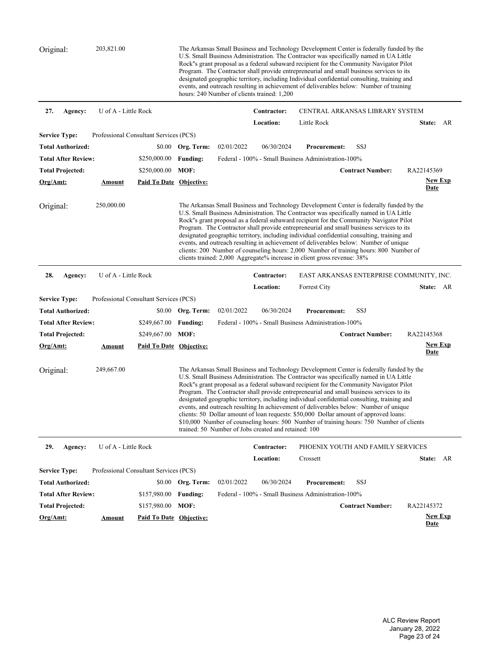| Original:                  | 203,821.00           |                                        |                   |            | hours: 240 Number of clients trained: 1,200          | The Arkansas Small Business and Technology Development Center is federally funded by the<br>U.S. Small Business Administration. The Contractor was specifically named in UA Little<br>Rock"s grant proposal as a federal subaward recipient for the Community Navigator Pilot<br>Program. The Contractor shall provide entrepreneurial and small business services to its<br>designated geographic territory, including Individual confidential consulting, training and<br>events, and outreach resulting in achievement of deliverables below: Number of training                                                                                                                                                                                    |                         |                                          |
|----------------------------|----------------------|----------------------------------------|-------------------|------------|------------------------------------------------------|--------------------------------------------------------------------------------------------------------------------------------------------------------------------------------------------------------------------------------------------------------------------------------------------------------------------------------------------------------------------------------------------------------------------------------------------------------------------------------------------------------------------------------------------------------------------------------------------------------------------------------------------------------------------------------------------------------------------------------------------------------|-------------------------|------------------------------------------|
| 27.<br>Agency:             | U of A - Little Rock |                                        |                   |            | Contractor:                                          | CENTRAL ARKANSAS LIBRARY SYSTEM                                                                                                                                                                                                                                                                                                                                                                                                                                                                                                                                                                                                                                                                                                                        |                         |                                          |
|                            |                      |                                        |                   |            | Location:                                            | Little Rock                                                                                                                                                                                                                                                                                                                                                                                                                                                                                                                                                                                                                                                                                                                                            |                         | State: AR                                |
| <b>Service Type:</b>       |                      | Professional Consultant Services (PCS) |                   |            |                                                      |                                                                                                                                                                                                                                                                                                                                                                                                                                                                                                                                                                                                                                                                                                                                                        |                         |                                          |
| <b>Total Authorized:</b>   |                      |                                        | \$0.00 Org. Term: | 02/01/2022 | 06/30/2024                                           | <b>Procurement:</b>                                                                                                                                                                                                                                                                                                                                                                                                                                                                                                                                                                                                                                                                                                                                    | SSJ                     |                                          |
| <b>Total After Review:</b> |                      | \$250,000.00                           | <b>Funding:</b>   |            |                                                      | Federal - 100% - Small Business Administration-100%                                                                                                                                                                                                                                                                                                                                                                                                                                                                                                                                                                                                                                                                                                    |                         |                                          |
| <b>Total Projected:</b>    |                      | \$250,000.00                           | MOF:              |            |                                                      |                                                                                                                                                                                                                                                                                                                                                                                                                                                                                                                                                                                                                                                                                                                                                        | <b>Contract Number:</b> | RA22145369                               |
| <u>Org/Amt:</u>            | <u>Amount</u>        | <b>Paid To Date Objective:</b>         |                   |            |                                                      |                                                                                                                                                                                                                                                                                                                                                                                                                                                                                                                                                                                                                                                                                                                                                        |                         | <b>New Exp</b><br>Date                   |
| Original:                  | 250,000.00           |                                        |                   |            |                                                      | The Arkansas Small Business and Technology Development Center is federally funded by the<br>U.S. Small Business Administration. The Contractor was specifically named in UA Little<br>Rock"s grant proposal as a federal subaward recipient for the Community Navigator Pilot<br>Program. The Contractor shall provide entrepreneurial and small business services to its<br>designated geographic territory, including individual confidential consulting, training and<br>events, and outreach resulting in achievement of deliverables below: Number of unique<br>clients: 200 Number of counseling hours: 2,000 Number of training hours: 800 Number of<br>clients trained: 2,000 Aggregate% increase in client gross revenue: 38%                 |                         |                                          |
| 28.<br>Agency:             | U of A - Little Rock |                                        |                   |            | Contractor:                                          |                                                                                                                                                                                                                                                                                                                                                                                                                                                                                                                                                                                                                                                                                                                                                        |                         | EAST ARKANSAS ENTERPRISE COMMUNITY, INC. |
|                            |                      |                                        |                   |            | Location:                                            | <b>Forrest City</b>                                                                                                                                                                                                                                                                                                                                                                                                                                                                                                                                                                                                                                                                                                                                    |                         | State: AR                                |
| <b>Service Type:</b>       |                      | Professional Consultant Services (PCS) |                   |            |                                                      |                                                                                                                                                                                                                                                                                                                                                                                                                                                                                                                                                                                                                                                                                                                                                        |                         |                                          |
| <b>Total Authorized:</b>   |                      | \$0.00                                 | Org. Term:        | 02/01/2022 | 06/30/2024                                           | <b>Procurement:</b>                                                                                                                                                                                                                                                                                                                                                                                                                                                                                                                                                                                                                                                                                                                                    | SSJ                     |                                          |
| <b>Total After Review:</b> |                      | \$249,667.00                           | <b>Funding:</b>   |            |                                                      | Federal - 100% - Small Business Administration-100%                                                                                                                                                                                                                                                                                                                                                                                                                                                                                                                                                                                                                                                                                                    |                         |                                          |
| <b>Total Projected:</b>    |                      | \$249,667.00                           | MOF:              |            |                                                      |                                                                                                                                                                                                                                                                                                                                                                                                                                                                                                                                                                                                                                                                                                                                                        | <b>Contract Number:</b> | RA22145368                               |
| Org/Amt:                   | <u>Amount</u>        | <b>Paid To Date Objective:</b>         |                   |            |                                                      |                                                                                                                                                                                                                                                                                                                                                                                                                                                                                                                                                                                                                                                                                                                                                        |                         | <b>New Exp</b><br><u>Date</u>            |
| Original:                  | 249,667.00           |                                        |                   |            | trained: 50 Number of Jobs created and retained: 100 | The Arkansas Small Business and Technology Development Center is federally funded by the<br>U.S. Small Business Administration. The Contractor was specifically named in UA Little<br>Rock"s grant proposal as a federal subaward recipient for the Community Navigator Pilot<br>Program. The Contractor shall provide entrepreneurial and small business services to its<br>designated geographic territory, including individual confidential consulting, training and<br>events, and outreach resulting In achievement of deliverables below: Number of unique<br>clients: 50 Dollar amount of loan requests: \$50,000 Dollar amount of approved loans:<br>\$10,000 Number of counseling hours: 500 Number of training hours: 750 Number of clients |                         |                                          |
| 29.<br>Agency:             | U of A - Little Rock |                                        |                   |            | Contractor:                                          | PHOENIX YOUTH AND FAMILY SERVICES                                                                                                                                                                                                                                                                                                                                                                                                                                                                                                                                                                                                                                                                                                                      |                         |                                          |
|                            |                      |                                        |                   |            | Location:                                            | Crossett                                                                                                                                                                                                                                                                                                                                                                                                                                                                                                                                                                                                                                                                                                                                               |                         | State: AR                                |
| <b>Service Type:</b>       |                      | Professional Consultant Services (PCS) |                   |            |                                                      |                                                                                                                                                                                                                                                                                                                                                                                                                                                                                                                                                                                                                                                                                                                                                        |                         |                                          |
| <b>Total Authorized:</b>   |                      |                                        | \$0.00 Org. Term: | 02/01/2022 | 06/30/2024                                           | <b>Procurement:</b>                                                                                                                                                                                                                                                                                                                                                                                                                                                                                                                                                                                                                                                                                                                                    | SSJ                     |                                          |
| <b>Total After Review:</b> |                      | \$157,980.00                           | <b>Funding:</b>   |            |                                                      | Federal - 100% - Small Business Administration-100%                                                                                                                                                                                                                                                                                                                                                                                                                                                                                                                                                                                                                                                                                                    |                         |                                          |
| <b>Total Projected:</b>    |                      | \$157,980.00                           | MOF:              |            |                                                      |                                                                                                                                                                                                                                                                                                                                                                                                                                                                                                                                                                                                                                                                                                                                                        | <b>Contract Number:</b> | RA22145372                               |
| Org/Amt:                   | <u>Amount</u>        | <b>Paid To Date Objective:</b>         |                   |            |                                                      |                                                                                                                                                                                                                                                                                                                                                                                                                                                                                                                                                                                                                                                                                                                                                        |                         | <b>New Exp</b><br><b>Date</b>            |